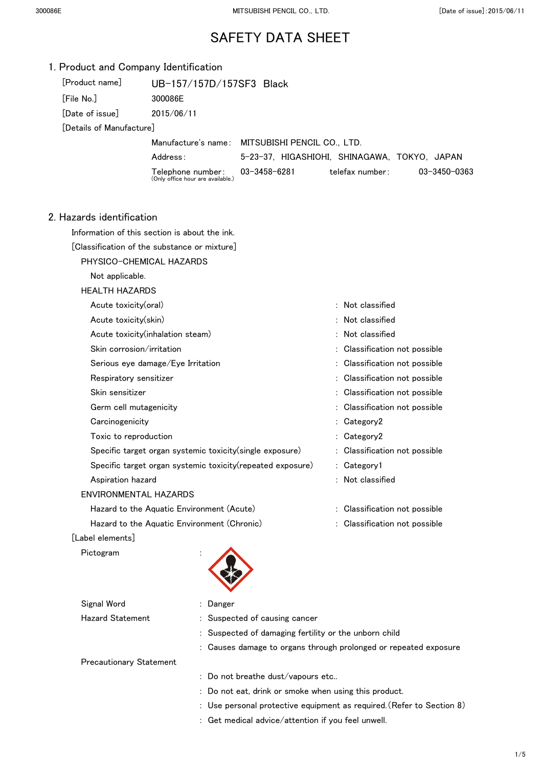| 1. Product and Company Identification |                                                            |                                                       |                                                                       |
|---------------------------------------|------------------------------------------------------------|-------------------------------------------------------|-----------------------------------------------------------------------|
| [Product name]                        | UB-157/157D/157SF3 Black                                   |                                                       |                                                                       |
| [File No.]                            | 300086E                                                    |                                                       |                                                                       |
| [Date of issue]                       | 2015/06/11                                                 |                                                       |                                                                       |
| [Details of Manufacture]              |                                                            |                                                       |                                                                       |
|                                       | Manufacture's name:                                        | MITSUBISHI PENCIL CO., LTD.                           |                                                                       |
|                                       | Address:                                                   |                                                       | 5-23-37, HIGASHIOHI, SHINAGAWA, TOKYO, JAPAN                          |
|                                       | Telephone number:<br>(Only office hour are available.)     | $03 - 3458 - 6281$                                    | telefax number:<br>03-3450-0363                                       |
| 2. Hazards identification             |                                                            |                                                       |                                                                       |
|                                       | Information of this section is about the ink.              |                                                       |                                                                       |
|                                       | [Classification of the substance or mixture]               |                                                       |                                                                       |
|                                       | PHYSICO-CHEMICAL HAZARDS                                   |                                                       |                                                                       |
| Not applicable.                       |                                                            |                                                       |                                                                       |
| <b>HEALTH HAZARDS</b>                 |                                                            |                                                       |                                                                       |
| Acute toxicity(oral)                  |                                                            |                                                       | : Not classified                                                      |
| Acute toxicity(skin)                  |                                                            |                                                       | Not classified                                                        |
|                                       | Acute toxicity(inhalation steam)                           |                                                       | : Not classified                                                      |
| Skin corrosion/irritation             |                                                            |                                                       | Classification not possible                                           |
|                                       | Serious eye damage/Eye Irritation                          |                                                       | Classification not possible                                           |
| Respiratory sensitizer                |                                                            |                                                       | : Classification not possible                                         |
| Skin sensitizer                       |                                                            |                                                       | Classification not possible                                           |
| Germ cell mutagenicity                |                                                            |                                                       | Classification not possible                                           |
| Carcinogenicity                       |                                                            |                                                       | : Category2                                                           |
| Toxic to reproduction                 |                                                            |                                                       | Category2                                                             |
|                                       | Specific target organ systemic toxicity(single exposure)   |                                                       | : Classification not possible                                         |
|                                       | Specific target organ systemic toxicity(repeated exposure) |                                                       | : Category1                                                           |
| Aspiration hazard                     |                                                            |                                                       | : Not classified                                                      |
| ENVIRONMENTAL HAZARDS                 |                                                            |                                                       |                                                                       |
|                                       | Hazard to the Aquatic Environment (Acute)                  |                                                       | : Classification not possible                                         |
|                                       | Hazard to the Aquatic Environment (Chronic)                |                                                       | : Classification not possible                                         |
| [Label elements]                      |                                                            |                                                       |                                                                       |
| Pictogram                             |                                                            |                                                       |                                                                       |
| Signal Word                           | Danger                                                     |                                                       |                                                                       |
| <b>Hazard Statement</b>               |                                                            | Suspected of causing cancer                           |                                                                       |
|                                       |                                                            | : Suspected of damaging fertility or the unborn child |                                                                       |
|                                       |                                                            |                                                       | : Causes damage to organs through prolonged or repeated exposure      |
| <b>Precautionary Statement</b>        |                                                            |                                                       |                                                                       |
|                                       |                                                            | : Do not breathe dust/vapours etc                     |                                                                       |
|                                       |                                                            |                                                       | : Do not eat, drink or smoke when using this product.                 |
|                                       |                                                            |                                                       | : Use personal protective equipment as required. (Refer to Section 8) |
|                                       |                                                            | : Get medical advice/attention if you feel unwell.    |                                                                       |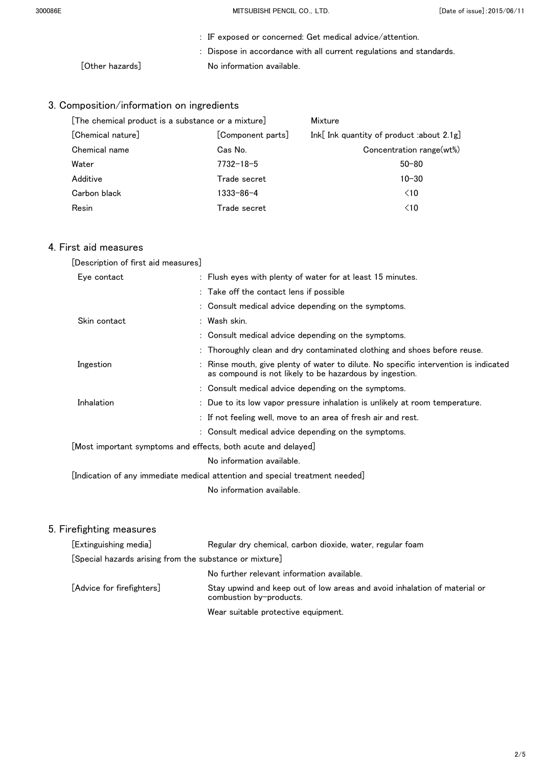300086E MITSUBISHI PENCIL CO.,LTD. [Date of issue]:2015/06/11

|                 | : IF exposed or concerned: Get medical advice/attention.            |
|-----------------|---------------------------------------------------------------------|
|                 | : Dispose in accordance with all current regulations and standards. |
| [Other hazards] | No information available.                                           |

## 3. Composition/information on ingredients

| [The chemical product is a substance or a mixture] |                   | Mixture                                      |  |
|----------------------------------------------------|-------------------|----------------------------------------------|--|
| [Chemical nature]                                  | [Component parts] | Ink[ Ink quantity of product :about $2.1g$ ] |  |
| Chemical name                                      | Cas No.           | Concentration range(wt%)                     |  |
| Water                                              | $7732 - 18 - 5$   | $50 - 80$                                    |  |
| Additive                                           | Trade secret      | $10 - 30$                                    |  |
| Carbon black                                       | 1333-86-4         | $\leq 10$                                    |  |
| Resin                                              | Trade secret      | $\leq 10$                                    |  |

#### 4. First aid measures

| [Description of first aid measures]                                          |                                                                                                                                                 |  |  |
|------------------------------------------------------------------------------|-------------------------------------------------------------------------------------------------------------------------------------------------|--|--|
| Eye contact                                                                  | : Flush eyes with plenty of water for at least 15 minutes.                                                                                      |  |  |
|                                                                              | : Take off the contact lens if possible                                                                                                         |  |  |
|                                                                              | : Consult medical advice depending on the symptoms.                                                                                             |  |  |
| Skin contact                                                                 | : Wash skin.                                                                                                                                    |  |  |
|                                                                              | : Consult medical advice depending on the symptoms.                                                                                             |  |  |
|                                                                              | : Thoroughly clean and dry contaminated clothing and shoes before reuse.                                                                        |  |  |
| Ingestion                                                                    | : Rinse mouth, give plenty of water to dilute. No specific intervention is indicated<br>as compound is not likely to be hazardous by ingestion. |  |  |
|                                                                              | : Consult medical advice depending on the symptoms.                                                                                             |  |  |
| Inhalation                                                                   | : Due to its low vapor pressure inhalation is unlikely at room temperature.                                                                     |  |  |
|                                                                              | : If not feeling well, move to an area of fresh air and rest.                                                                                   |  |  |
|                                                                              | : Consult medical advice depending on the symptoms.                                                                                             |  |  |
| [Most important symptoms and effects, both acute and delayed]                |                                                                                                                                                 |  |  |
|                                                                              | No information available.                                                                                                                       |  |  |
| [Indication of any immediate medical attention and special treatment needed] |                                                                                                                                                 |  |  |

No information available.

| [Extinguishing media]                                   | Regular dry chemical, carbon dioxide, water, regular foam                                            |  |
|---------------------------------------------------------|------------------------------------------------------------------------------------------------------|--|
| [Special hazards arising from the substance or mixture] |                                                                                                      |  |
|                                                         | No further relevant information available.                                                           |  |
| [Advice for firefighters]                               | Stay upwind and keep out of low areas and avoid inhalation of material or<br>combustion by-products. |  |
|                                                         | Wear suitable protective equipment.                                                                  |  |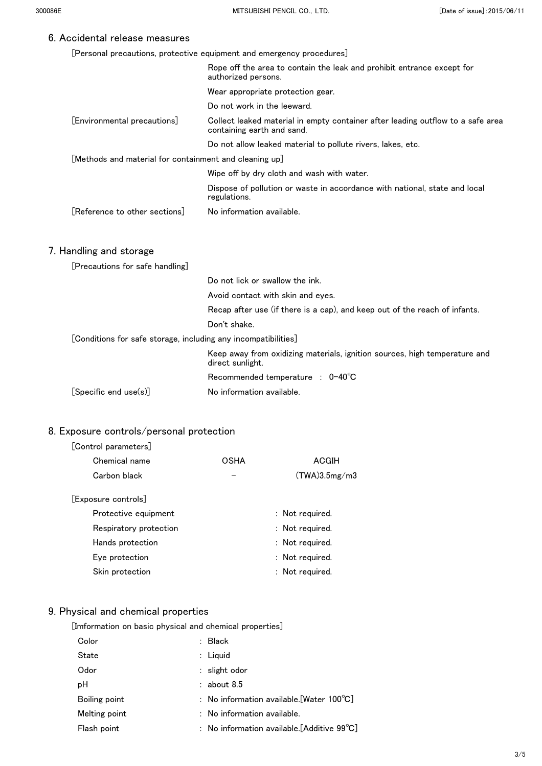[Personal precautions, protective equipment and emergency procedures]

|                                                                | Rope off the area to contain the leak and prohibit entrance except for<br>authorized persons.                 |
|----------------------------------------------------------------|---------------------------------------------------------------------------------------------------------------|
|                                                                | Wear appropriate protection gear.                                                                             |
|                                                                | Do not work in the leeward.                                                                                   |
| [Environmental precautions]                                    | Collect leaked material in empty container after leading outflow to a safe area<br>containing earth and sand. |
|                                                                | Do not allow leaked material to pollute rivers, lakes, etc.                                                   |
| [Methods and material for containment and cleaning up]         |                                                                                                               |
|                                                                | Wipe off by dry cloth and wash with water.                                                                    |
|                                                                | Dispose of pollution or waste in accordance with national, state and local<br>regulations.                    |
| [Reference to other sections]                                  | No information available.                                                                                     |
|                                                                |                                                                                                               |
| 7. Handling and storage                                        |                                                                                                               |
| [Precautions for safe handling]                                |                                                                                                               |
|                                                                | Do not lick or swallow the ink.                                                                               |
|                                                                | Avoid contact with skin and eyes.                                                                             |
|                                                                | Recap after use (if there is a cap), and keep out of the reach of infants.                                    |
|                                                                | Don't shake.                                                                                                  |
| [Conditions for safe storage, including any incompatibilities] |                                                                                                               |
|                                                                | Keep away from oxidizing materials, ignition sources, high temperature and<br>direct sunlight.                |
|                                                                | Recommended temperature : 0-40°C                                                                              |
| [Specific end use(s)]                                          | No information available.                                                                                     |

## 8. Exposure controls/personal protection

#### [Control parameters]

| Chemical name          | OSHA | ACGIH           |
|------------------------|------|-----------------|
| Carbon black           |      | (TWA)3.5mg/m3   |
| [Exposure controls]    |      |                 |
| Protective equipment   |      | : Not required. |
| Respiratory protection |      | : Not required. |
| Hands protection       |      | : Not required. |
| Eye protection         |      | : Not required. |
| Skin protection        |      | : Not required. |
|                        |      |                 |

## 9. Physical and chemical properties

[Imformation on basic physical and chemical properties]

| Color         | $:$ Black                                             |
|---------------|-------------------------------------------------------|
| State         | : Liquid                                              |
| Odor          | : slight odor                                         |
| рH            | $:$ about 8.5                                         |
| Boiling point | : No information available. [Water $100^{\circ}$ C]   |
| Melting point | $:$ No information available.                         |
| Flash point   | : No information available. [Additive $99^{\circ}C$ ] |
|               |                                                       |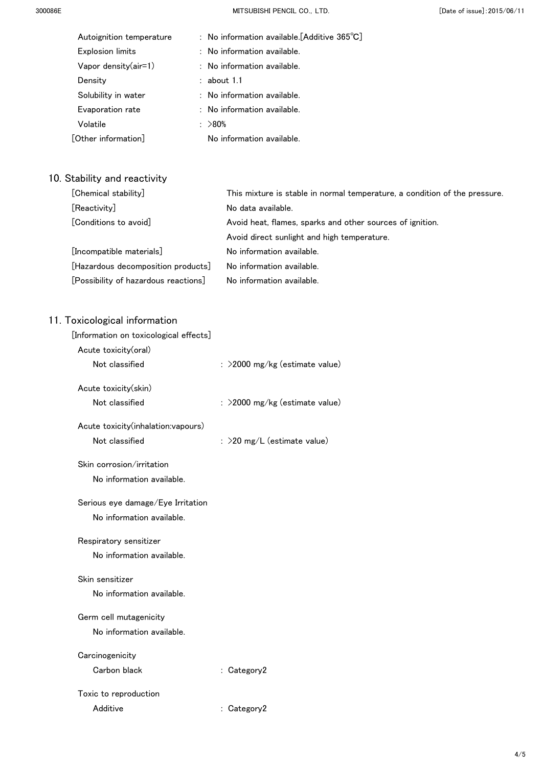| Autoignition temperature | : No information available. [Additive $365^{\circ}$ C] |
|--------------------------|--------------------------------------------------------|
| <b>Explosion limits</b>  | : No information available.                            |
| Vapor density $(air=1)$  | $:$ No information available.                          |
| Density                  | $:$ about 1.1                                          |
| Solubility in water      | : No information available.                            |
| Evaporation rate         | : No information available.                            |
| Volatile                 | : >80%                                                 |
| [Other information]      | No information available.                              |

## 10. Stability and reactivity

| [Chemical stability]                 | This mixture is stable in normal temperature, a condition of the pressure. |
|--------------------------------------|----------------------------------------------------------------------------|
| [Reactivity]                         | No data available.                                                         |
| [Conditions to avoid]                | Avoid heat, flames, sparks and other sources of ignition.                  |
|                                      | Avoid direct sunlight and high temperature.                                |
| [Incompatible materials]             | No information available.                                                  |
| [Hazardous decomposition products]   | No information available.                                                  |
| [Possibility of hazardous reactions] | No information available.                                                  |

| [Information on toxicological effects] |                                  |
|----------------------------------------|----------------------------------|
| Acute toxicity(oral)                   |                                  |
| Not classified                         | $:$ >2000 mg/kg (estimate value) |
| Acute toxicity(skin)                   |                                  |
| Not classified                         | : >2000 mg/kg (estimate value)   |
| Acute toxicity(inhalation:vapours)     |                                  |
| Not classified                         | : >20 mg/L (estimate value)      |
| Skin corrosion/irritation              |                                  |
| No information available.              |                                  |
| Serious eye damage/Eye Irritation      |                                  |
| No information available.              |                                  |
| Respiratory sensitizer                 |                                  |
| No information available.              |                                  |
| Skin sensitizer                        |                                  |
| No information available.              |                                  |
| Germ cell mutagenicity                 |                                  |
| No information available.              |                                  |
| Carcinogenicity                        |                                  |
| Carbon black                           | : Category2                      |
| Toxic to reproduction                  |                                  |
| Additive                               | : Category2                      |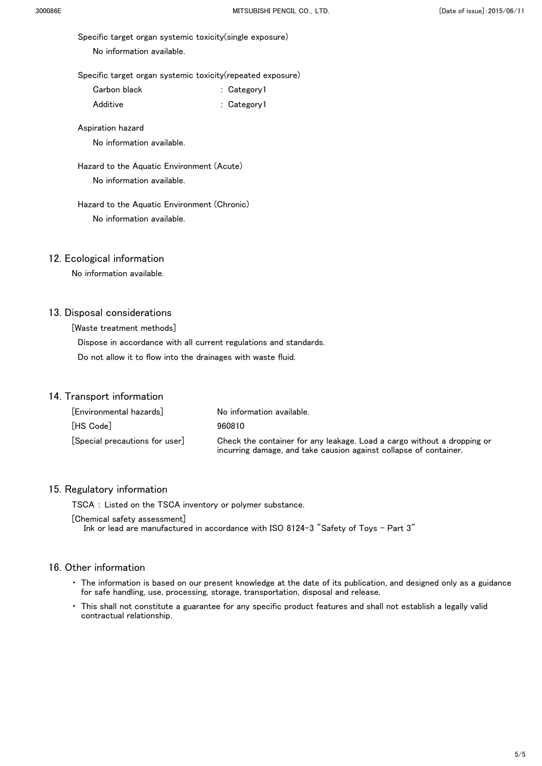Specific target organ systemic toxicity(single exposure)

No information available.

Specific target organ systemic toxicity(repeated exposure)

| Carbon black | : Category1 |
|--------------|-------------|
|              |             |

Additive : Category1

Aspiration hazard

No information available.

 Hazard to the Aquatic Environment (Acute) No information available.

#### Hazard to the Aquatic Environment (Chronic) No information available.

#### 12. Ecological information

No information available.

#### 13. Disposal considerations

[Waste treatment methods]

 Dispose in accordance with all current regulations and standards. Do not allow it to flow into the drainages with waste fluid.

#### 14. Transport information

| [Environmental hazards]        | No information available.                                                                                                                    |
|--------------------------------|----------------------------------------------------------------------------------------------------------------------------------------------|
| [HS Code]                      | 960810                                                                                                                                       |
| [Special precautions for user] | Check the container for any leakage. Load a cargo without a dropping or<br>incurring damage, and take causion against collapse of container. |

#### 15. Regulatory information

TSCA : Listed on the TSCA inventory or polymer substance.

[Chemical safety assessment] Ink or lead are manufactured in accordance with ISO 8124-3 "Safety of Toys - Part 3"

- ・ The information is based on our present knowledge at the date of its publication, and designed only as a guidance for safe handling, use, processing, storage, transportation, disposal and release.
- ・ This shall not constitute a guarantee for any specific product features and shall not establish a legally valid contractual relationship.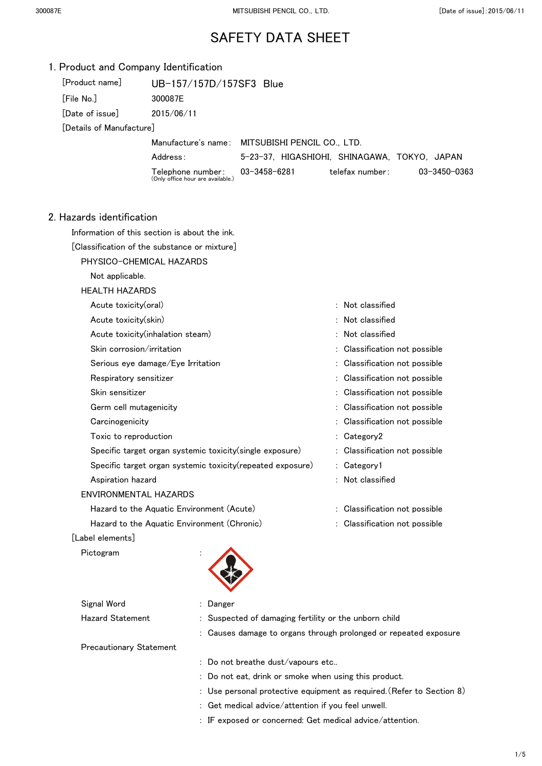|                                                                           | 1. Product and Company Identification                    |                                                                     |                               |              |
|---------------------------------------------------------------------------|----------------------------------------------------------|---------------------------------------------------------------------|-------------------------------|--------------|
| [Product name]                                                            | UB-157/157D/157SF3 Blue                                  |                                                                     |                               |              |
| [File No.]                                                                | 300087E                                                  |                                                                     |                               |              |
| [Date of issue]                                                           | 2015/06/11                                               |                                                                     |                               |              |
| [Details of Manufacture]                                                  |                                                          |                                                                     |                               |              |
|                                                                           |                                                          | Manufacture's name: MITSUBISHI PENCIL CO., LTD.                     |                               |              |
|                                                                           | Address:                                                 | 5-23-37, HIGASHIOHI, SHINAGAWA, TOKYO, JAPAN                        |                               |              |
|                                                                           | Telephone number:<br>(Only office hour are available.)   | 03-3458-6281                                                        | telefax number:               | 03-3450-0363 |
| 2. Hazards identification                                                 |                                                          |                                                                     |                               |              |
|                                                                           | Information of this section is about the ink.            |                                                                     |                               |              |
|                                                                           | [Classification of the substance or mixture]             |                                                                     |                               |              |
|                                                                           | PHYSICO-CHEMICAL HAZARDS                                 |                                                                     |                               |              |
| Not applicable.                                                           |                                                          |                                                                     |                               |              |
| <b>HEALTH HAZARDS</b>                                                     |                                                          |                                                                     |                               |              |
| Acute toxicity(oral)                                                      |                                                          |                                                                     | : Not classified              |              |
| Acute toxicity(skin)                                                      |                                                          |                                                                     | : Not classified              |              |
|                                                                           | Acute toxicity (inhalation steam)                        |                                                                     | : Not classified              |              |
|                                                                           | Skin corrosion/irritation                                |                                                                     | : Classification not possible |              |
|                                                                           | Serious eye damage/Eye Irritation                        |                                                                     | : Classification not possible |              |
|                                                                           | Respiratory sensitizer                                   |                                                                     | : Classification not possible |              |
| Skin sensitizer                                                           |                                                          |                                                                     | : Classification not possible |              |
|                                                                           | Germ cell mutagenicity                                   |                                                                     | : Classification not possible |              |
| Carcinogenicity                                                           |                                                          |                                                                     | : Classification not possible |              |
|                                                                           | Toxic to reproduction                                    |                                                                     | : Category2                   |              |
|                                                                           | Specific target organ systemic toxicity(single exposure) |                                                                     | : Classification not possible |              |
| Specific target organ systemic toxicity(repeated exposure)<br>: Category1 |                                                          |                                                                     |                               |              |
| Aspiration hazard                                                         |                                                          |                                                                     | : Not classified              |              |
|                                                                           | <b>ENVIRONMENTAL HAZARDS</b>                             |                                                                     |                               |              |
|                                                                           | Hazard to the Aquatic Environment (Acute)                |                                                                     | : Classification not possible |              |
|                                                                           | Hazard to the Aquatic Environment (Chronic)              |                                                                     | : Classification not possible |              |
| [Label elements]                                                          |                                                          |                                                                     |                               |              |
| Pictogram                                                                 |                                                          |                                                                     |                               |              |
| Signal Word                                                               | Danger                                                   |                                                                     |                               |              |
| <b>Hazard Statement</b>                                                   |                                                          | Suspected of damaging fertility or the unborn child                 |                               |              |
|                                                                           |                                                          | Causes damage to organs through prolonged or repeated exposure      |                               |              |
|                                                                           | <b>Precautionary Statement</b>                           |                                                                     |                               |              |
|                                                                           |                                                          | Do not breathe dust/vapours etc                                     |                               |              |
|                                                                           |                                                          | Do not eat, drink or smoke when using this product.                 |                               |              |
|                                                                           |                                                          | Use personal protective equipment as required. (Refer to Section 8) |                               |              |

- : Get medical advice/attention if you feel unwell.
- : IF exposed or concerned: Get medical advice/attention.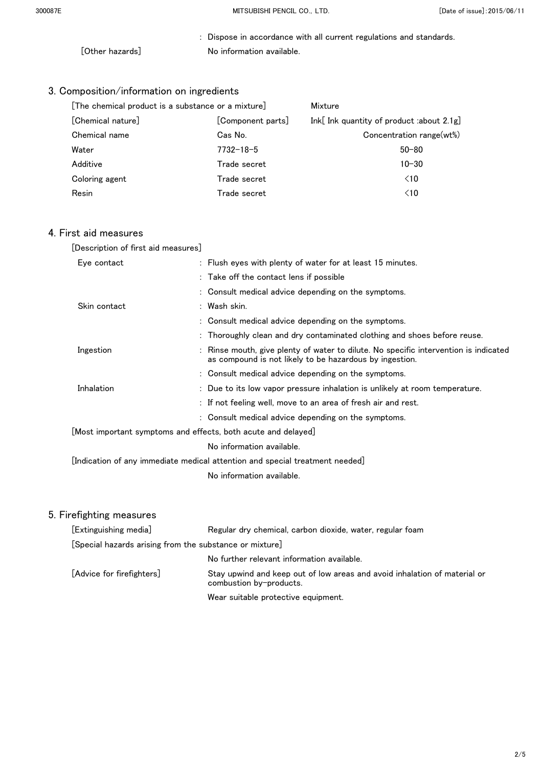: Dispose in accordance with all current regulations and standards. [Other hazards] No information available.

## 3. Composition/information on ingredients

| [The chemical product is a substance or a mixture] |                   | Mixture                                   |  |
|----------------------------------------------------|-------------------|-------------------------------------------|--|
| [Chemical nature]                                  | [Component parts] | Ink[ Ink quantity of product :about 2.1g] |  |
| Chemical name                                      | Cas No.           | Concentration range(wt%)                  |  |
| Water                                              | $7732 - 18 - 5$   | $50 - 80$                                 |  |
| Additive                                           | Trade secret      | $10 - 30$                                 |  |
| Coloring agent                                     | Trade secret      | $\leq 10$                                 |  |
| Resin                                              | Trade secret      | $\leq 10$                                 |  |

## 4. First aid measures

| [Description of first aid measures]                                             |                                                                                                                                               |
|---------------------------------------------------------------------------------|-----------------------------------------------------------------------------------------------------------------------------------------------|
| Eye contact                                                                     | : Flush eyes with plenty of water for at least 15 minutes.                                                                                    |
|                                                                                 | : Take off the contact lens if possible                                                                                                       |
|                                                                                 | : Consult medical advice depending on the symptoms.                                                                                           |
| Skin contact                                                                    | : Wash skin.                                                                                                                                  |
|                                                                                 | : Consult medical advice depending on the symptoms.                                                                                           |
|                                                                                 | : Thoroughly clean and dry contaminated clothing and shoes before reuse.                                                                      |
| Ingestion                                                                       | Rinse mouth, give plenty of water to dilute. No specific intervention is indicated<br>as compound is not likely to be hazardous by ingestion. |
|                                                                                 | : Consult medical advice depending on the symptoms.                                                                                           |
| Inhalation                                                                      | : Due to its low vapor pressure inhalation is unlikely at room temperature.                                                                   |
|                                                                                 | : If not feeling well, move to an area of fresh air and rest.                                                                                 |
|                                                                                 | : Consult medical advice depending on the symptoms.                                                                                           |
| $\lfloor$ Most important symptoms and effects, both acute and delayed $\rfloor$ |                                                                                                                                               |
|                                                                                 | No information available.                                                                                                                     |
|                                                                                 | [Indication of any immediate medical attention and special treatment needed] $\,$                                                             |
|                                                                                 | No information available.                                                                                                                     |
|                                                                                 |                                                                                                                                               |

| [Extinguishing media]                                   | Regular dry chemical, carbon dioxide, water, regular foam                                            |
|---------------------------------------------------------|------------------------------------------------------------------------------------------------------|
| [Special hazards arising from the substance or mixture] |                                                                                                      |
|                                                         | No further relevant information available.                                                           |
| [Advice for firefighters]                               | Stay upwind and keep out of low areas and avoid inhalation of material or<br>combustion by-products. |
|                                                         | Wear suitable protective equipment.                                                                  |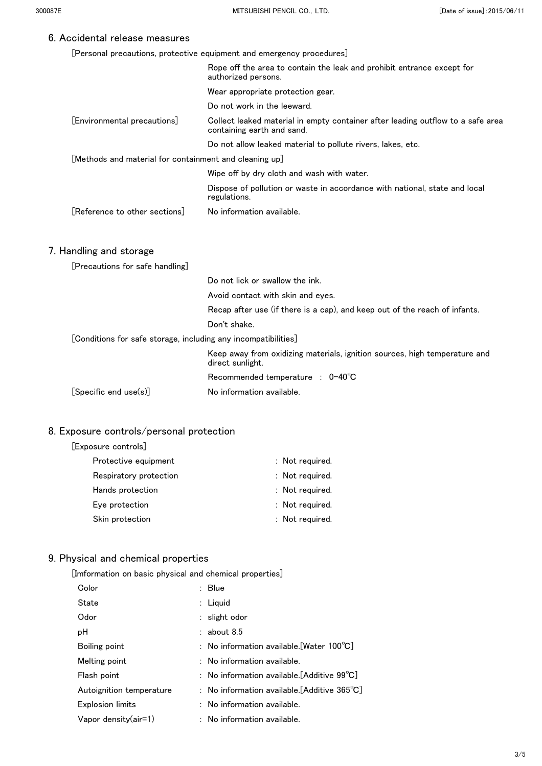[Personal precautions, protective equipment and emergency procedures]

|                                                                | Rope off the area to contain the leak and prohibit entrance except for<br>authorized persons.                 |
|----------------------------------------------------------------|---------------------------------------------------------------------------------------------------------------|
|                                                                | Wear appropriate protection gear.                                                                             |
|                                                                | Do not work in the leeward.                                                                                   |
| [Environmental precautions]                                    | Collect leaked material in empty container after leading outflow to a safe area<br>containing earth and sand. |
|                                                                | Do not allow leaked material to pollute rivers, lakes, etc.                                                   |
| [Methods and material for containment and cleaning up]         |                                                                                                               |
|                                                                | Wipe off by dry cloth and wash with water.                                                                    |
|                                                                | Dispose of pollution or waste in accordance with national, state and local<br>regulations.                    |
| Reference to other sections                                    | No information available.                                                                                     |
|                                                                |                                                                                                               |
| 7. Handling and storage                                        |                                                                                                               |
| [Precautions for safe handling]                                |                                                                                                               |
|                                                                | Do not lick or swallow the ink.                                                                               |
|                                                                | Avoid contact with skin and eyes.                                                                             |
|                                                                | Recap after use (if there is a cap), and keep out of the reach of infants.                                    |
|                                                                | Don't shake.                                                                                                  |
| [Conditions for safe storage, including any incompatibilities] |                                                                                                               |
|                                                                | Keep away from oxidizing materials, ignition sources, high temperature and<br>direct sunlight.                |
|                                                                | Recommended temperature : 0-40°C                                                                              |
| [Specific end use(s)]                                          | No information available.                                                                                     |

### 8. Exposure controls/personal protection

[Exposure controls]

| Protective equipment   | : Not required. |
|------------------------|-----------------|
| Respiratory protection | : Not required. |
| Hands protection       | : Not required. |
| Eye protection         | : Not required. |
| Skin protection        | : Not required. |
|                        |                 |

## 9. Physical and chemical properties

[Imformation on basic physical and chemical properties]

| Color                    | : Blue                                                      |
|--------------------------|-------------------------------------------------------------|
| State                    | $:$ Liquid                                                  |
| Odor                     | $:$ slight odor                                             |
| рH                       | $:$ about 8.5                                               |
| Boiling point            | : No information available. [Water $100^{\circ}$ C]         |
| Melting point            | $:$ No information available.                               |
| Flash point              | : No information available.[Additive $99^{\circ}\text{C}$ ] |
| Autoignition temperature | : No information available.[Additive 365 $^{\circ}$ C]      |
| <b>Explosion limits</b>  | : No information available.                                 |
| Vapor density(air=1)     | $:$ No information available.                               |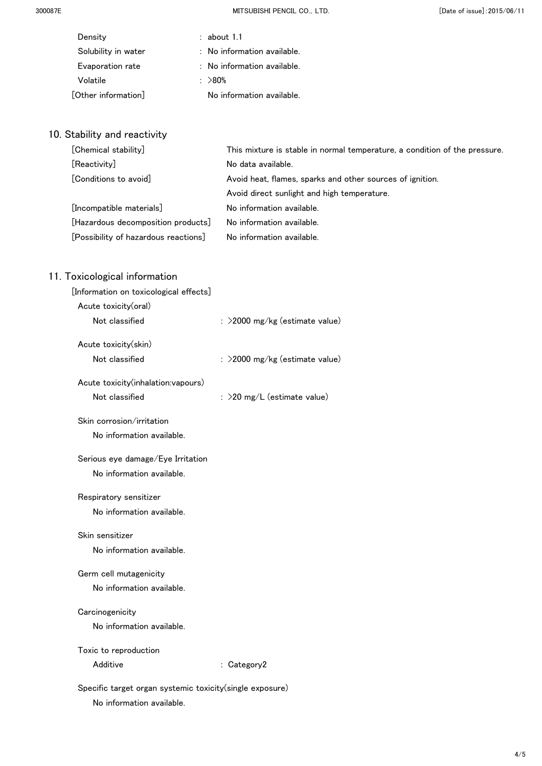300087E MITSUBISHI PENCIL CO.,LTD. [Date of issue]:2015/06/11

| Density             | $:$ about 1.1                          |  |
|---------------------|----------------------------------------|--|
| Solubility in water | $\therefore$ No information available. |  |
| Evaporation rate    | : No information available.            |  |
| Volatile            | $\therefore$ >80%                      |  |
| [Other information] | No information available.              |  |
|                     |                                        |  |

## 10. Stability and reactivity

| [Chemical stability]                 | This mixture is stable in normal temperature, a condition of the pressure. |
|--------------------------------------|----------------------------------------------------------------------------|
| [Reactivity]                         | No data available.                                                         |
| [Conditions to avoid]                | Avoid heat, flames, sparks and other sources of ignition.                  |
|                                      | Avoid direct sunlight and high temperature.                                |
| [Incompatible materials]             | No information available.                                                  |
| [Hazardous decomposition products]   | No information available.                                                  |
| [Possibility of hazardous reactions] | No information available.                                                  |

| [Information on toxicological effects]                    |                                   |
|-----------------------------------------------------------|-----------------------------------|
| Acute toxicity(oral)                                      |                                   |
| Not classified                                            | : >2000 mg/kg (estimate value)    |
| Acute toxicity(skin)                                      |                                   |
| Not classified                                            | : $>$ 2000 mg/kg (estimate value) |
| Acute toxicity(inhalation:vapours)                        |                                   |
| Not classified                                            | : $>$ 20 mg/L (estimate value)    |
| Skin corrosion/irritation                                 |                                   |
| No information available.                                 |                                   |
| Serious eye damage/Eye Irritation                         |                                   |
| No information available.                                 |                                   |
| Respiratory sensitizer                                    |                                   |
| No information available.                                 |                                   |
| Skin sensitizer                                           |                                   |
| No information available.                                 |                                   |
| Germ cell mutagenicity                                    |                                   |
| No information available.                                 |                                   |
| Carcinogenicity                                           |                                   |
| No information available.                                 |                                   |
| Toxic to reproduction                                     |                                   |
| Additive                                                  | : Category2                       |
| Specific target organ systemic toxicity (single exposure) |                                   |
| No information available.                                 |                                   |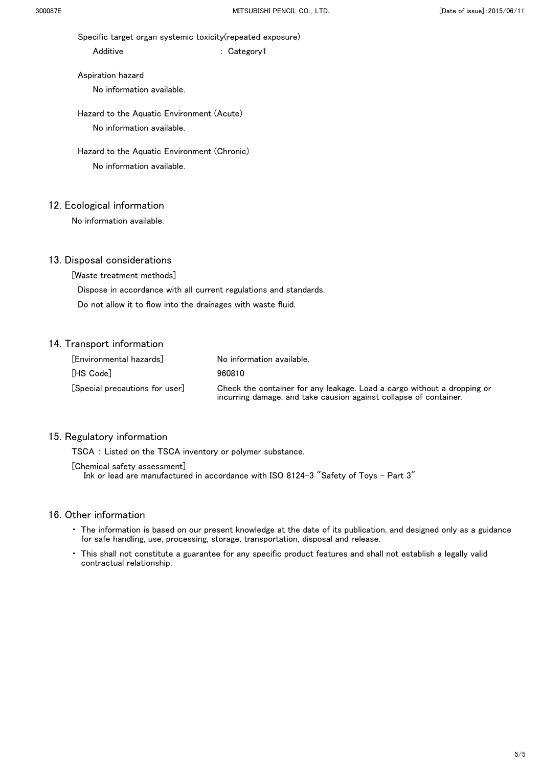Specific target organ systemic toxicity(repeated exposure)

Additive : Category1

 Aspiration hazard No information available.

 Hazard to the Aquatic Environment (Acute) No information available.

 Hazard to the Aquatic Environment (Chronic) No information available.

## 12. Ecological information

No information available.

### 13. Disposal considerations

[Waste treatment methods]

Dispose in accordance with all current regulations and standards.

Do not allow it to flow into the drainages with waste fluid.

## 14. Transport information

| [Environmental hazards]      | No information available.                                                                                                                    |
|------------------------------|----------------------------------------------------------------------------------------------------------------------------------------------|
| [HS Code]                    | 960810                                                                                                                                       |
| Special precautions for user | Check the container for any leakage. Load a cargo without a dropping or<br>incurring damage, and take causion against collapse of container. |

#### 15. Regulatory information

TSCA : Listed on the TSCA inventory or polymer substance.

[Chemical safety assessment]

Ink or lead are manufactured in accordance with ISO 8124-3 "Safety of Toys - Part 3"

- ・ The information is based on our present knowledge at the date of its publication, and designed only as a guidance for safe handling, use, processing, storage, transportation, disposal and release.
- ・ This shall not constitute a guarantee for any specific product features and shall not establish a legally valid contractual relationship.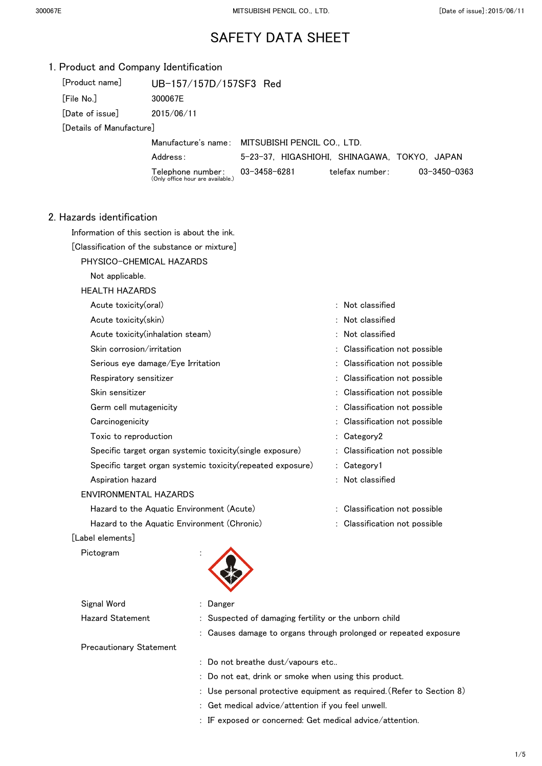| 1. Product and Company Identification               |                                                             |                                                       |                                                                     |              |
|-----------------------------------------------------|-------------------------------------------------------------|-------------------------------------------------------|---------------------------------------------------------------------|--------------|
| [Product name]                                      | UB-157/157D/157SF3 Red                                      |                                                       |                                                                     |              |
| [File No.]                                          | 300067E                                                     |                                                       |                                                                     |              |
| [Date of issue]<br>2015/06/11                       |                                                             |                                                       |                                                                     |              |
| [Details of Manufacture]                            |                                                             |                                                       |                                                                     |              |
|                                                     |                                                             | Manufacture's name: MITSUBISHI PENCIL CO., LTD.       |                                                                     |              |
|                                                     | Address:                                                    |                                                       | 5-23-37, HIGASHIOHI, SHINAGAWA, TOKYO, JAPAN                        |              |
|                                                     | Telephone number:<br>(Only office hour are available.)      | 03-3458-6281                                          | telefax number:                                                     | 03-3450-0363 |
| 2. Hazards identification                           |                                                             |                                                       |                                                                     |              |
|                                                     | Information of this section is about the ink.               |                                                       |                                                                     |              |
|                                                     | [Classification of the substance or mixture]                |                                                       |                                                                     |              |
|                                                     | PHYSICO-CHEMICAL HAZARDS                                    |                                                       |                                                                     |              |
| Not applicable.                                     |                                                             |                                                       |                                                                     |              |
| <b>HEALTH HAZARDS</b>                               |                                                             |                                                       |                                                                     |              |
| Acute toxicity(oral)                                |                                                             |                                                       | : Not classified                                                    |              |
| Acute toxicity(skin)                                |                                                             |                                                       | : Not classified                                                    |              |
|                                                     | Acute toxicity (inhalation steam)                           |                                                       | : Not classified                                                    |              |
| Skin corrosion/irritation                           |                                                             |                                                       | : Classification not possible                                       |              |
|                                                     | Serious eye damage/Eye Irritation                           |                                                       | Classification not possible                                         |              |
| Respiratory sensitizer                              |                                                             |                                                       | : Classification not possible                                       |              |
| Skin sensitizer                                     |                                                             |                                                       | : Classification not possible                                       |              |
| Germ cell mutagenicity                              |                                                             |                                                       | : Classification not possible                                       |              |
| Carcinogenicity                                     |                                                             |                                                       | : Classification not possible                                       |              |
| Toxic to reproduction                               |                                                             |                                                       | : Category2                                                         |              |
|                                                     | Specific target organ systemic toxicity(single exposure)    |                                                       | : Classification not possible                                       |              |
|                                                     | Specific target organ systemic toxicity (repeated exposure) |                                                       | : Category1                                                         |              |
| Aspiration hazard                                   |                                                             |                                                       | : Not classified                                                    |              |
| <b>ENVIRONMENTAL HAZARDS</b>                        |                                                             |                                                       |                                                                     |              |
|                                                     | Hazard to the Aquatic Environment (Acute)                   |                                                       | : Classification not possible                                       |              |
|                                                     | Hazard to the Aquatic Environment (Chronic)                 |                                                       | : Classification not possible                                       |              |
| [Label elements]                                    |                                                             |                                                       |                                                                     |              |
| Pictogram                                           |                                                             |                                                       |                                                                     |              |
| Signal Word                                         | Danger                                                      |                                                       |                                                                     |              |
| <b>Hazard Statement</b>                             |                                                             | : Suspected of damaging fertility or the unborn child |                                                                     |              |
|                                                     |                                                             |                                                       | : Causes damage to organs through prolonged or repeated exposure    |              |
| <b>Precautionary Statement</b>                      |                                                             |                                                       |                                                                     |              |
|                                                     |                                                             | : Do not breathe dust/vapours etc                     |                                                                     |              |
| Do not eat, drink or smoke when using this product. |                                                             |                                                       |                                                                     |              |
|                                                     |                                                             |                                                       | Use personal protective equipment as required. (Refer to Section 8) |              |

- : Get medical advice/attention if you feel unwell.
- : IF exposed or concerned: Get medical advice/attention.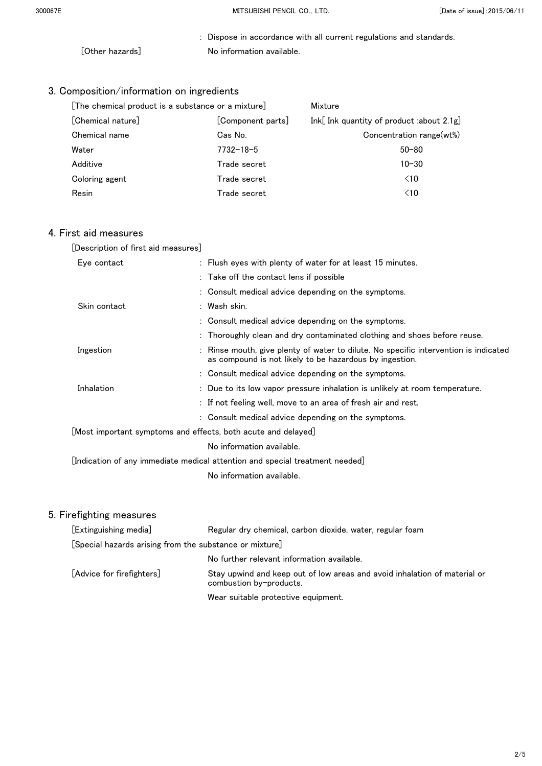: Dispose in accordance with all current regulations and standards. [Other hazards] No information available.

## 3. Composition/information on ingredients

| [The chemical product is a substance or a mixture] |                   | Mixture                                   |  |
|----------------------------------------------------|-------------------|-------------------------------------------|--|
| [Chemical nature]                                  | [Component parts] | Ink[ Ink quantity of product :about 2.1g] |  |
| Chemical name                                      | Cas No.           | Concentration range(wt%)                  |  |
| Water                                              | $7732 - 18 - 5$   | $50 - 80$                                 |  |
| Additive                                           | Trade secret      | $10 - 30$                                 |  |
| Coloring agent                                     | Trade secret      | $\leq 10$                                 |  |
| Resin                                              | Trade secret      | $\leq 10$                                 |  |

## 4. First aid measures

| [Description of first aid measures]                                             |                                                                                                                                               |
|---------------------------------------------------------------------------------|-----------------------------------------------------------------------------------------------------------------------------------------------|
| Eye contact                                                                     | : Flush eyes with plenty of water for at least 15 minutes.                                                                                    |
|                                                                                 | : Take off the contact lens if possible                                                                                                       |
|                                                                                 | : Consult medical advice depending on the symptoms.                                                                                           |
| Skin contact                                                                    | : Wash skin.                                                                                                                                  |
|                                                                                 | : Consult medical advice depending on the symptoms.                                                                                           |
|                                                                                 | : Thoroughly clean and dry contaminated clothing and shoes before reuse.                                                                      |
| Ingestion                                                                       | Rinse mouth, give plenty of water to dilute. No specific intervention is indicated<br>as compound is not likely to be hazardous by ingestion. |
|                                                                                 | : Consult medical advice depending on the symptoms.                                                                                           |
| Inhalation                                                                      | : Due to its low vapor pressure inhalation is unlikely at room temperature.                                                                   |
|                                                                                 | : If not feeling well, move to an area of fresh air and rest.                                                                                 |
|                                                                                 | : Consult medical advice depending on the symptoms.                                                                                           |
| $\lfloor$ Most important symptoms and effects, both acute and delayed $\rfloor$ |                                                                                                                                               |
|                                                                                 | No information available.                                                                                                                     |
|                                                                                 | [Indication of any immediate medical attention and special treatment needed] $\,$                                                             |
|                                                                                 | No information available.                                                                                                                     |
|                                                                                 |                                                                                                                                               |

| [Extinguishing media]                                   | Regular dry chemical, carbon dioxide, water, regular foam                                            |  |
|---------------------------------------------------------|------------------------------------------------------------------------------------------------------|--|
| [Special hazards arising from the substance or mixture] |                                                                                                      |  |
|                                                         | No further relevant information available.                                                           |  |
| [Advice for firefighters]                               | Stay upwind and keep out of low areas and avoid inhalation of material or<br>combustion by-products. |  |
|                                                         | Wear suitable protective equipment.                                                                  |  |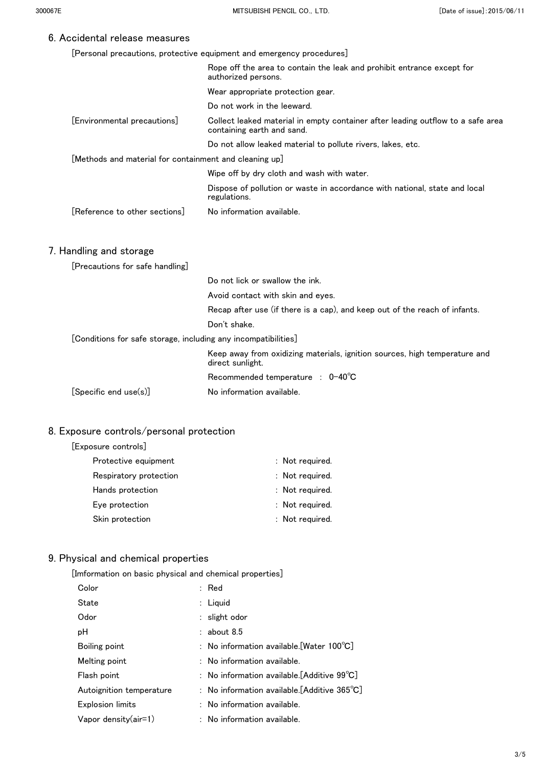[Personal precautions, protective equipment and emergency procedures]

|                                                                | Rope off the area to contain the leak and prohibit entrance except for<br>authorized persons.                 |
|----------------------------------------------------------------|---------------------------------------------------------------------------------------------------------------|
|                                                                | Wear appropriate protection gear.                                                                             |
|                                                                | Do not work in the leeward.                                                                                   |
| [Environmental precautions]                                    | Collect leaked material in empty container after leading outflow to a safe area<br>containing earth and sand. |
|                                                                | Do not allow leaked material to pollute rivers, lakes, etc.                                                   |
| [Methods and material for containment and cleaning up]         |                                                                                                               |
|                                                                | Wipe off by dry cloth and wash with water.                                                                    |
|                                                                | Dispose of pollution or waste in accordance with national, state and local<br>regulations.                    |
| [Reference to other sections]                                  | No information available.                                                                                     |
| 7. Handling and storage                                        |                                                                                                               |
| [Precautions for safe handling]                                |                                                                                                               |
|                                                                | Do not lick or swallow the ink.                                                                               |
|                                                                | Avoid contact with skin and eyes.                                                                             |
|                                                                | Recap after use (if there is a cap), and keep out of the reach of infants.                                    |
|                                                                | Don't shake.                                                                                                  |
| [Conditions for safe storage, including any incompatibilities] |                                                                                                               |
|                                                                | Keep away from oxidizing materials, ignition sources, high temperature and<br>direct sunlight.                |
|                                                                | Recommended temperature : $0-40^{\circ}$ C                                                                    |
| [Specific end use(s)]                                          | No information available.                                                                                     |

### 8. Exposure controls/personal protection

[Exposure controls]

| Protective equipment   | : Not required. |
|------------------------|-----------------|
| Respiratory protection | : Not required. |
| Hands protection       | : Not required. |
| Eye protection         | : Not required. |
| Skin protection        | : Not required. |

## 9. Physical and chemical properties

[Imformation on basic physical and chemical properties]

| Color                    | $:$ Red                                                |
|--------------------------|--------------------------------------------------------|
| State                    | $:$ Liquid                                             |
| Odor                     | $:$ slight odor                                        |
| рH                       | $:$ about 8.5                                          |
| Boiling point            | : No information available.[Water 100°C]               |
| Melting point            | $:$ No information available.                          |
| Flash point              | : No information available. [Additive $99^{\circ}C$ ]  |
| Autoignition temperature | : No information available.[Additive 365 $^{\circ}$ C] |
| <b>Explosion limits</b>  | : No information available.                            |
| Vapor density(air=1)     | : No information available.                            |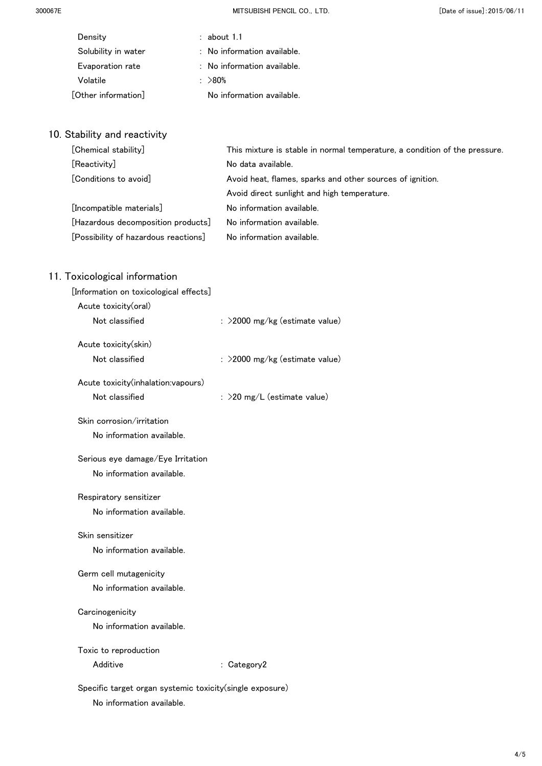300067E MITSUBISHI PENCIL CO.,LTD. [Date of issue]:2015/06/11

| Density             | $:$ about 1.1                          |  |
|---------------------|----------------------------------------|--|
| Solubility in water | $\therefore$ No information available. |  |
| Evaporation rate    | : No information available.            |  |
| Volatile            | $\therefore$ >80%                      |  |
| [Other information] | No information available.              |  |
|                     |                                        |  |

## 10. Stability and reactivity

| [Chemical stability]                 | This mixture is stable in normal temperature, a condition of the pressure. |
|--------------------------------------|----------------------------------------------------------------------------|
| [Reactivity]                         | No data available.                                                         |
| [Conditions to avoid]                | Avoid heat, flames, sparks and other sources of ignition.                  |
|                                      | Avoid direct sunlight and high temperature.                                |
| [Incompatible materials]             | No information available.                                                  |
| [Hazardous decomposition products]   | No information available.                                                  |
| [Possibility of hazardous reactions] | No information available.                                                  |

| [Information on toxicological effects]                    |                                   |
|-----------------------------------------------------------|-----------------------------------|
| Acute toxicity(oral)                                      |                                   |
| Not classified                                            | : >2000 mg/kg (estimate value)    |
| Acute toxicity(skin)                                      |                                   |
| Not classified                                            | : $>$ 2000 mg/kg (estimate value) |
| Acute toxicity(inhalation:vapours)                        |                                   |
| Not classified                                            | : $>$ 20 mg/L (estimate value)    |
| Skin corrosion/irritation                                 |                                   |
| No information available.                                 |                                   |
| Serious eye damage/Eye Irritation                         |                                   |
| No information available.                                 |                                   |
| Respiratory sensitizer                                    |                                   |
| No information available.                                 |                                   |
| Skin sensitizer                                           |                                   |
| No information available.                                 |                                   |
| Germ cell mutagenicity                                    |                                   |
| No information available.                                 |                                   |
| Carcinogenicity                                           |                                   |
| No information available.                                 |                                   |
| Toxic to reproduction                                     |                                   |
| Additive                                                  | : Category2                       |
| Specific target organ systemic toxicity (single exposure) |                                   |
| No information available.                                 |                                   |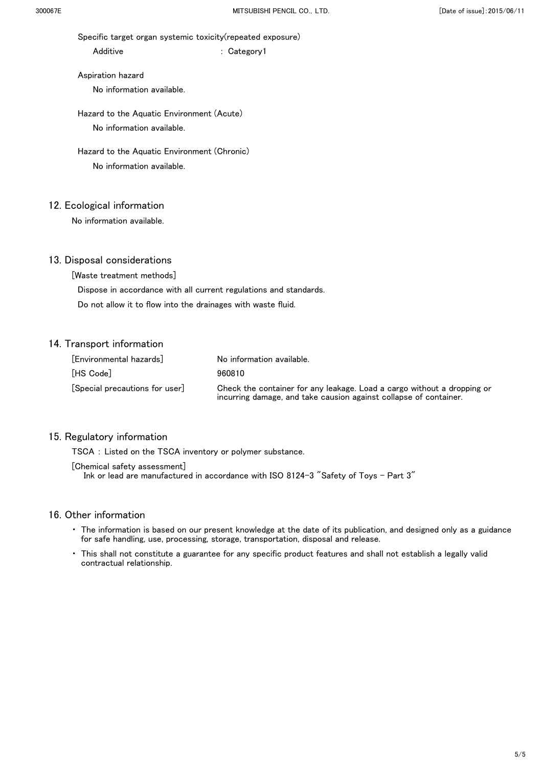Specific target organ systemic toxicity(repeated exposure)

Additive : Category1

 Aspiration hazard No information available.

 Hazard to the Aquatic Environment (Acute) No information available.

 Hazard to the Aquatic Environment (Chronic) No information available.

## 12. Ecological information

No information available.

### 13. Disposal considerations

[Waste treatment methods]

Dispose in accordance with all current regulations and standards.

Do not allow it to flow into the drainages with waste fluid.

## 14. Transport information

| [Environmental hazards]      | No information available.                                                                                                                    |
|------------------------------|----------------------------------------------------------------------------------------------------------------------------------------------|
| [HS Code]                    | 960810                                                                                                                                       |
| Special precautions for user | Check the container for any leakage. Load a cargo without a dropping or<br>incurring damage, and take causion against collapse of container. |

#### 15. Regulatory information

TSCA : Listed on the TSCA inventory or polymer substance.

[Chemical safety assessment]

Ink or lead are manufactured in accordance with ISO 8124-3 "Safety of Toys - Part 3"

- ・ The information is based on our present knowledge at the date of its publication, and designed only as a guidance for safe handling, use, processing, storage, transportation, disposal and release.
- ・ This shall not constitute a guarantee for any specific product features and shall not establish a legally valid contractual relationship.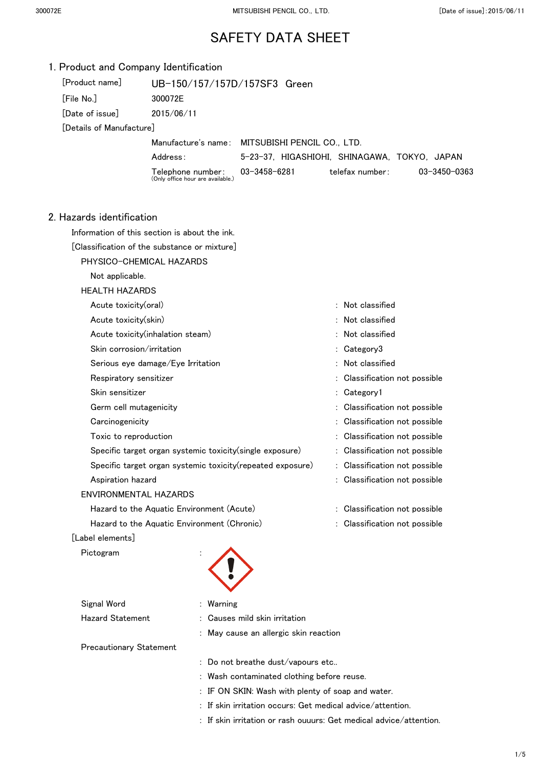| 1. Product and Company Identification      |                                                            |                                                 |                               |              |
|--------------------------------------------|------------------------------------------------------------|-------------------------------------------------|-------------------------------|--------------|
| [Product name]                             | UB-150/157/157D/157SF3 Green                               |                                                 |                               |              |
| [File No.]                                 | 300072E                                                    |                                                 |                               |              |
| [Date of issue]                            | 2015/06/11                                                 |                                                 |                               |              |
| [Details of Manufacture]                   |                                                            |                                                 |                               |              |
|                                            |                                                            | Manufacture's name: MITSUBISHI PENCIL CO., LTD. |                               |              |
|                                            | Address:                                                   | 5-23-37, HIGASHIOHI, SHINAGAWA, TOKYO, JAPAN    |                               |              |
|                                            | Telephone number:<br>(Only office hour are available.)     | $03 - 3458 - 6281$                              | telefax number:               | 03-3450-0363 |
| 2. Hazards identification                  |                                                            |                                                 |                               |              |
|                                            | Information of this section is about the ink.              |                                                 |                               |              |
|                                            | [Classification of the substance or mixture]               |                                                 |                               |              |
|                                            | PHYSICO-CHEMICAL HAZARDS                                   |                                                 |                               |              |
| Not applicable.                            |                                                            |                                                 |                               |              |
| <b>HEALTH HAZARDS</b>                      |                                                            |                                                 |                               |              |
| Acute toxicity(oral)                       |                                                            |                                                 | : Not classified              |              |
| Acute toxicity(skin)                       |                                                            |                                                 | : Not classified              |              |
|                                            | Acute toxicity (inhalation steam)                          |                                                 | Not classified                |              |
| Skin corrosion/irritation                  |                                                            |                                                 | : Category3                   |              |
|                                            | Serious eye damage/Eye Irritation                          |                                                 | : Not classified              |              |
| Respiratory sensitizer                     |                                                            |                                                 | Classification not possible   |              |
| Skin sensitizer                            |                                                            |                                                 | : Category1                   |              |
| Germ cell mutagenicity                     |                                                            |                                                 | : Classification not possible |              |
| Carcinogenicity                            |                                                            |                                                 | Classification not possible   |              |
| Toxic to reproduction                      |                                                            |                                                 | Classification not possible   |              |
|                                            | Specific target organ systemic toxicity (single exposure)  |                                                 | : Classification not possible |              |
|                                            | Specific target organ systemic toxicity(repeated exposure) |                                                 | : Classification not possible |              |
| Aspiration hazard                          |                                                            |                                                 | : Classification not possible |              |
|                                            | <b>ENVIRONMENTAL HAZARDS</b>                               |                                                 |                               |              |
|                                            | Hazard to the Aquatic Environment (Acute)                  |                                                 | : Classification not possible |              |
|                                            | Hazard to the Aquatic Environment (Chronic)                |                                                 | : Classification not possible |              |
| [Label elements]                           |                                                            |                                                 |                               |              |
| Pictogram                                  |                                                            |                                                 |                               |              |
| Signal Word                                | : Warning                                                  |                                                 |                               |              |
| <b>Hazard Statement</b>                    |                                                            | Causes mild skin irritation                     |                               |              |
|                                            |                                                            | : May cause an allergic skin reaction           |                               |              |
| <b>Precautionary Statement</b>             |                                                            |                                                 |                               |              |
|                                            |                                                            | : Do not breathe dust/vapours etc               |                               |              |
| : Wash contaminated clothing before reuse. |                                                            |                                                 |                               |              |

- : IF ON SKIN: Wash with plenty of soap and water.
- : If skin irritation occurs: Get medical advice/attention.
- : If skin irritation or rash ouuurs: Get medical advice/attention.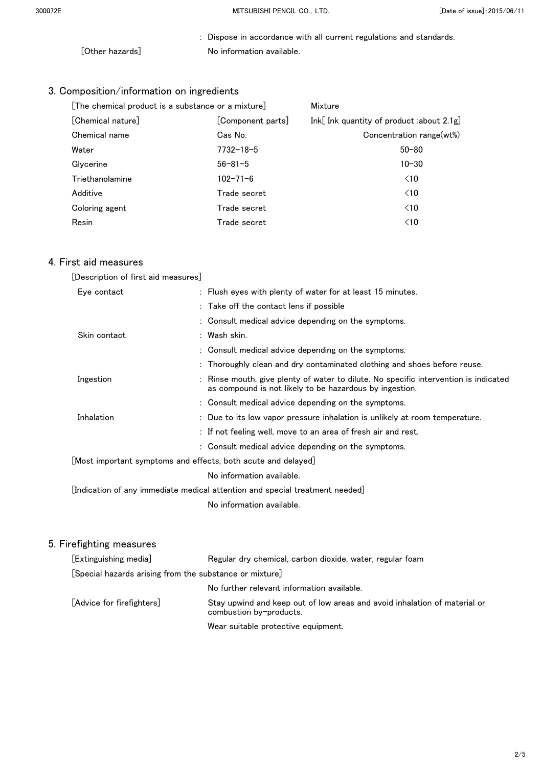: Dispose in accordance with all current regulations and standards. [Other hazards] No information available.

## 3. Composition/information on ingredients

| [The chemical product is a substance or a mixture] |                   | Mixture                                     |  |
|----------------------------------------------------|-------------------|---------------------------------------------|--|
| [Chemical nature]                                  | [Component parts] | Ink[Ink quantity of product :about $2.1g$ ] |  |
| Chemical name                                      | Cas No.           | Concentration range(wt%)                    |  |
| Water                                              | $7732 - 18 - 5$   | $50 - 80$                                   |  |
| Glycerine                                          | $56 - 81 - 5$     | $10 - 30$                                   |  |
| Triethanolamine                                    | $102 - 71 - 6$    | $\leq 10$                                   |  |
| Additive                                           | Trade secret      | $\leq 10$                                   |  |
| Coloring agent                                     | Trade secret      | $\leq 10$                                   |  |
| Resin                                              | Trade secret      | $\leq 10$                                   |  |
|                                                    |                   |                                             |  |

#### 4. First aid measures

| [Description of first aid measures] |  |  |
|-------------------------------------|--|--|
|                                     |  |  |

| Eye contact  | : Flush eyes with plenty of water for at least 15 minutes.                                                                                      |
|--------------|-------------------------------------------------------------------------------------------------------------------------------------------------|
|              | : Take off the contact lens if possible                                                                                                         |
|              | : Consult medical advice depending on the symptoms.                                                                                             |
| Skin contact | : Wash skin.                                                                                                                                    |
|              | : Consult medical advice depending on the symptoms.                                                                                             |
|              | : Thoroughly clean and dry contaminated clothing and shoes before reuse.                                                                        |
| Ingestion    | : Rinse mouth, give plenty of water to dilute. No specific intervention is indicated<br>as compound is not likely to be hazardous by ingestion. |
|              | : Consult medical advice depending on the symptoms.                                                                                             |
| Inhalation   | : Due to its low vapor pressure inhalation is unlikely at room temperature.                                                                     |
|              | : If not feeling well, move to an area of fresh air and rest.                                                                                   |
|              | : Consult medical advice depending on the symptoms.                                                                                             |
|              | $\lfloor$ Most important symptoms and effects, both acute and delayed $\rfloor$                                                                 |
|              | No information available.                                                                                                                       |
|              | [Indication of any immediate medical attention and special treatment $\mathsf{needed} $                                                         |
|              | No information available.                                                                                                                       |

| [Extinguishing media]                                   | Regular dry chemical, carbon dioxide, water, regular foam                                            |
|---------------------------------------------------------|------------------------------------------------------------------------------------------------------|
| [Special hazards arising from the substance or mixture] |                                                                                                      |
|                                                         | No further relevant information available.                                                           |
| [Advice for firefighters]                               | Stay upwind and keep out of low areas and avoid inhalation of material or<br>combustion by-products. |
|                                                         | Wear suitable protective equipment.                                                                  |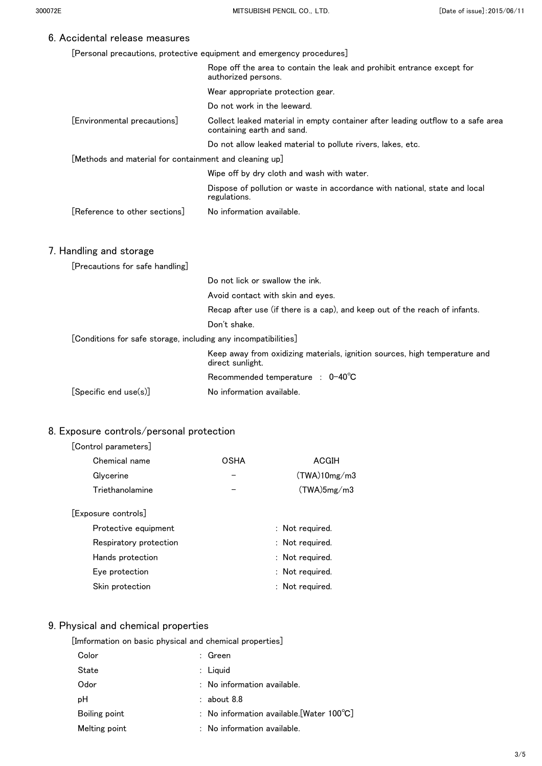[Personal precautions, protective equipment and emergency procedures]

|                                                                | Rope off the area to contain the leak and prohibit entrance except for<br>authorized persons.                 |
|----------------------------------------------------------------|---------------------------------------------------------------------------------------------------------------|
|                                                                | Wear appropriate protection gear.                                                                             |
|                                                                | Do not work in the leeward.                                                                                   |
| [Environmental precautions]                                    | Collect leaked material in empty container after leading outflow to a safe area<br>containing earth and sand. |
|                                                                | Do not allow leaked material to pollute rivers, lakes, etc.                                                   |
| [Methods and material for containment and cleaning up]         |                                                                                                               |
|                                                                | Wipe off by dry cloth and wash with water.                                                                    |
|                                                                | Dispose of pollution or waste in accordance with national, state and local<br>regulations.                    |
| [Reference to other sections]                                  | No information available.                                                                                     |
|                                                                |                                                                                                               |
| 7. Handling and storage                                        |                                                                                                               |
| [Precautions for safe handling]                                |                                                                                                               |
|                                                                | Do not lick or swallow the ink.                                                                               |
|                                                                | Avoid contact with skin and eyes.                                                                             |
|                                                                | Recap after use (if there is a cap), and keep out of the reach of infants.                                    |
|                                                                | Don't shake.                                                                                                  |
| [Conditions for safe storage, including any incompatibilities] |                                                                                                               |
|                                                                | Keep away from oxidizing materials, ignition sources, high temperature and<br>direct sunlight.                |
|                                                                | Recommended temperature : 0-40°C                                                                              |
| [Specific end use(s)]                                          | No information available.                                                                                     |

### 8. Exposure controls/personal protection

#### [Control parameters]

| Chemical name    | OSHA | ACGIH        |
|------------------|------|--------------|
| Glycerine        |      | (TWA)10mg/m3 |
| Triethanolamine  |      | (TWA)5mg/m3  |
| posure controls] |      |              |

## $[Ex]$

| Protective equipment   | : Not required. |
|------------------------|-----------------|
| Respiratory protection | : Not required. |
| Hands protection       | : Not required. |
| Eye protection         | : Not required. |
| Skin protection        | : Not required. |

#### 9. Physical and chemical properties

[Imformation on basic physical and chemical properties]

| Color         | $\therefore$ Green |                                                     |
|---------------|--------------------|-----------------------------------------------------|
| State         | $:$ Liquid         |                                                     |
| Odor          |                    | $\therefore$ No information available.              |
| рH            | $:$ about 8.8      |                                                     |
| Boiling point |                    | : No information available. [Water $100^{\circ}$ C] |
| Melting point |                    | $:$ No information available.                       |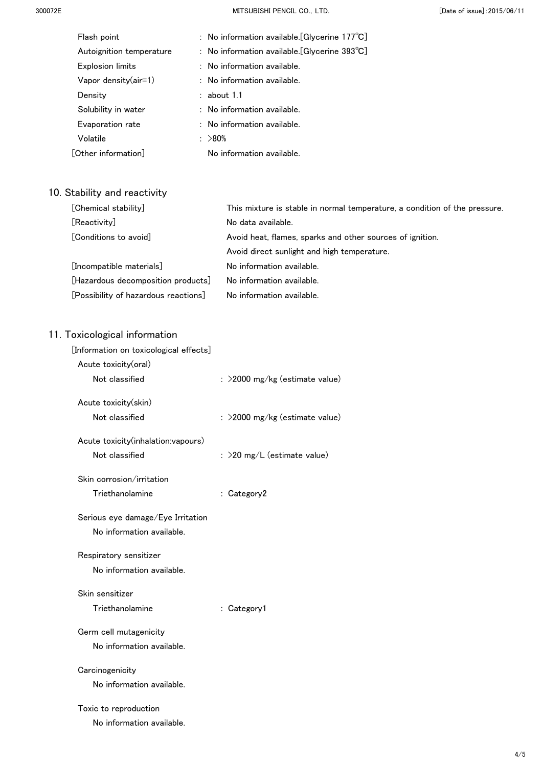300072E MITSUBISHI PENCIL CO.,LTD. [Date of issue]:2015/06/11

| Flash point              | : No information available.[Glycerine 177°C]            |  |
|--------------------------|---------------------------------------------------------|--|
| Autoignition temperature | : No information available. [Glycerine $393^{\circ}C$ ] |  |
| <b>Explosion limits</b>  | $\therefore$ No information available.                  |  |
| Vapor density(air=1)     | $\therefore$ No information available.                  |  |
| Density                  | $:$ about 1.1                                           |  |
| Solubility in water      | $\therefore$ No information available.                  |  |
| Evaporation rate         | $\therefore$ No information available.                  |  |
| Volatile                 | $: \; >80\%$                                            |  |
| [Other information]      | No information available.                               |  |
|                          |                                                         |  |

## 10. Stability and reactivity

| [Chemical stability]                 | This mixture is stable in normal temperature, a condition of the pressure. |
|--------------------------------------|----------------------------------------------------------------------------|
| [Reactivity]                         | No data available.                                                         |
| [Conditions to avoid]                | Avoid heat, flames, sparks and other sources of ignition.                  |
|                                      | Avoid direct sunlight and high temperature.                                |
| [Incompatible materials]             | No information available.                                                  |
| [Hazardous decomposition products]   | No information available.                                                  |
| [Possibility of hazardous reactions] | No information available.                                                  |

| [Information on toxicological effects] |                                |
|----------------------------------------|--------------------------------|
| Acute toxicity(oral)                   |                                |
| Not classified                         | : >2000 mg/kg (estimate value) |
| Acute toxicity(skin)                   |                                |
| Not classified                         | : >2000 mg/kg (estimate value) |
| Acute toxicity(inhalation:vapours)     |                                |
| Not classified                         | : $>$ 20 mg/L (estimate value) |
| Skin corrosion/irritation              |                                |
| Triethanolamine                        | : Category2                    |
| Serious eye damage/Eye Irritation      |                                |
| No information available.              |                                |
| Respiratory sensitizer                 |                                |
| No information available.              |                                |
| Skin sensitizer                        |                                |
| Triethanolamine                        | : Category1                    |
| Germ cell mutagenicity                 |                                |
| No information available.              |                                |
| Carcinogenicity                        |                                |
| No information available.              |                                |
| Toxic to reproduction                  |                                |
| No information available.              |                                |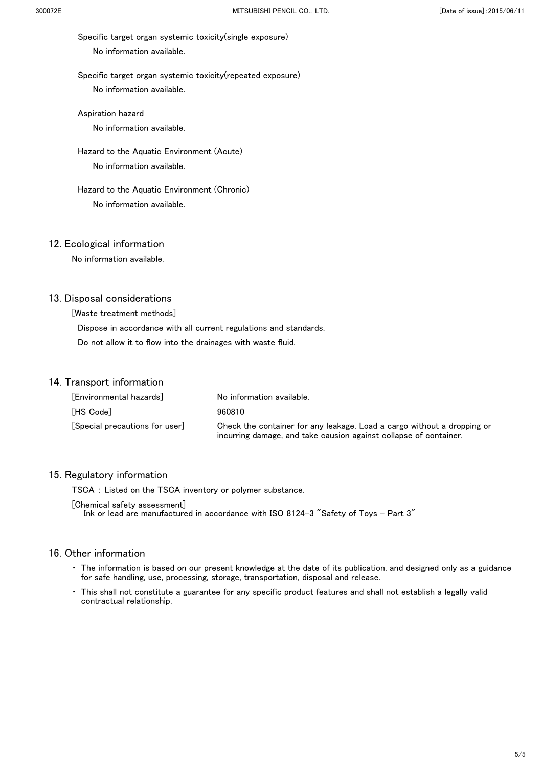Specific target organ systemic toxicity(single exposure) No information available.

 Specific target organ systemic toxicity(repeated exposure) No information available.

 Aspiration hazard No information available.

Hazard to the Aquatic Environment (Acute)

No information available.

 Hazard to the Aquatic Environment (Chronic) No information available.

#### 12. Ecological information

No information available.

#### 13. Disposal considerations

[Waste treatment methods]

 Dispose in accordance with all current regulations and standards. Do not allow it to flow into the drainages with waste fluid.

#### 14. Transport information

| [Environmental hazards]                        | No information available.                                                                                                                    |
|------------------------------------------------|----------------------------------------------------------------------------------------------------------------------------------------------|
| [HS Code]                                      | 960810                                                                                                                                       |
| $\lceil$ Special precautions for user $\rceil$ | Check the container for any leakage. Load a cargo without a dropping or<br>incurring damage, and take causion against collapse of container. |

#### 15. Regulatory information

TSCA : Listed on the TSCA inventory or polymer substance.

[Chemical safety assessment]

Ink or lead are manufactured in accordance with ISO 8124-3 "Safety of Toys - Part 3"

- ・ The information is based on our present knowledge at the date of its publication, and designed only as a guidance for safe handling, use, processing, storage, transportation, disposal and release.
- This shall not constitute a guarantee for any specific product features and shall not establish a legally valid contractual relationship.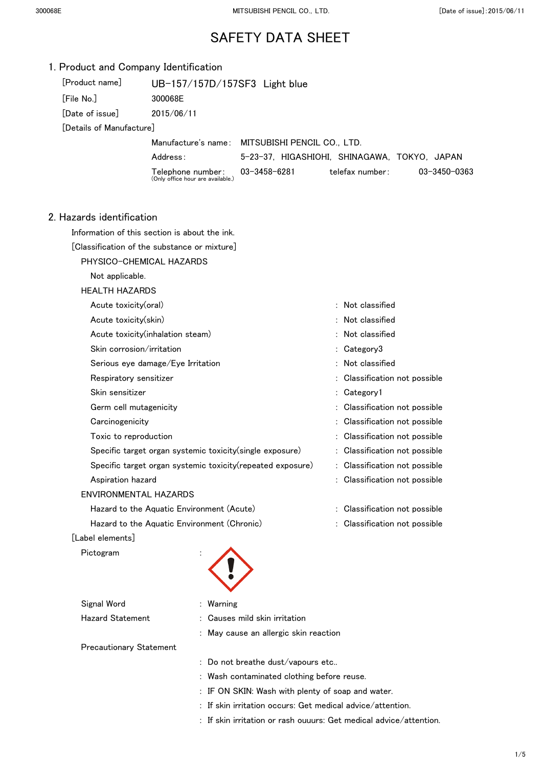| 1. Product and Company Identification                      |                                                          |                                                 |                                              |              |
|------------------------------------------------------------|----------------------------------------------------------|-------------------------------------------------|----------------------------------------------|--------------|
| [Product name]                                             | UB-157/157D/157SF3 Light blue                            |                                                 |                                              |              |
| [File No.]                                                 | 300068E                                                  |                                                 |                                              |              |
| [Date of issue]                                            | 2015/06/11                                               |                                                 |                                              |              |
| [Details of Manufacture]                                   |                                                          |                                                 |                                              |              |
|                                                            |                                                          | Manufacture's name: MITSUBISHI PENCIL CO., LTD. |                                              |              |
|                                                            | Address:                                                 |                                                 | 5-23-37, HIGASHIOHI, SHINAGAWA, TOKYO, JAPAN |              |
|                                                            | Telephone number:<br>(Only office hour are available.)   | $03 - 3458 - 6281$                              | telefax number:                              | 03-3450-0363 |
| 2. Hazards identification                                  |                                                          |                                                 |                                              |              |
|                                                            | Information of this section is about the ink.            |                                                 |                                              |              |
|                                                            | [Classification of the substance or mixture]             |                                                 |                                              |              |
|                                                            | PHYSICO-CHEMICAL HAZARDS                                 |                                                 |                                              |              |
| Not applicable.                                            |                                                          |                                                 |                                              |              |
| <b>HEALTH HAZARDS</b>                                      |                                                          |                                                 |                                              |              |
| Acute toxicity(oral)                                       |                                                          |                                                 | : Not classified                             |              |
| Acute toxicity(skin)                                       |                                                          |                                                 | : Not classified                             |              |
|                                                            | Acute toxicity (inhalation steam)                        |                                                 | : Not classified                             |              |
| Skin corrosion/irritation                                  |                                                          |                                                 | : Category3                                  |              |
|                                                            | Serious eye damage/Eye Irritation                        |                                                 | : Not classified                             |              |
| Respiratory sensitizer                                     |                                                          |                                                 | Classification not possible                  |              |
| Skin sensitizer                                            |                                                          |                                                 | : Category1                                  |              |
| Germ cell mutagenicity                                     |                                                          |                                                 | : Classification not possible                |              |
| Carcinogenicity                                            |                                                          |                                                 | Classification not possible                  |              |
| Toxic to reproduction                                      |                                                          |                                                 | Classification not possible                  |              |
|                                                            | Specific target organ systemic toxicity(single exposure) |                                                 | : Classification not possible                |              |
| Specific target organ systemic toxicity(repeated exposure) |                                                          |                                                 | : Classification not possible                |              |
| Aspiration hazard                                          |                                                          |                                                 | : Classification not possible                |              |
| ENVIRONMENTAL HAZARDS                                      |                                                          |                                                 |                                              |              |
| Hazard to the Aquatic Environment (Acute)                  |                                                          |                                                 | : Classification not possible                |              |
|                                                            | Hazard to the Aquatic Environment (Chronic)              |                                                 | : Classification not possible                |              |
| [Label elements]                                           |                                                          |                                                 |                                              |              |
| Pictogram                                                  |                                                          |                                                 |                                              |              |
|                                                            |                                                          |                                                 |                                              |              |
| Signal Word                                                | : Warning                                                |                                                 |                                              |              |
| <b>Hazard Statement</b>                                    |                                                          | Causes mild skin irritation                     |                                              |              |
|                                                            |                                                          | : May cause an allergic skin reaction           |                                              |              |
| <b>Precautionary Statement</b>                             |                                                          |                                                 |                                              |              |
|                                                            |                                                          | : Do not breathe dust/vapours etc               |                                              |              |

- : Wash contaminated clothing before reuse.
- : IF ON SKIN: Wash with plenty of soap and water.
- : If skin irritation occurs: Get medical advice/attention.
- : If skin irritation or rash ouuurs: Get medical advice/attention.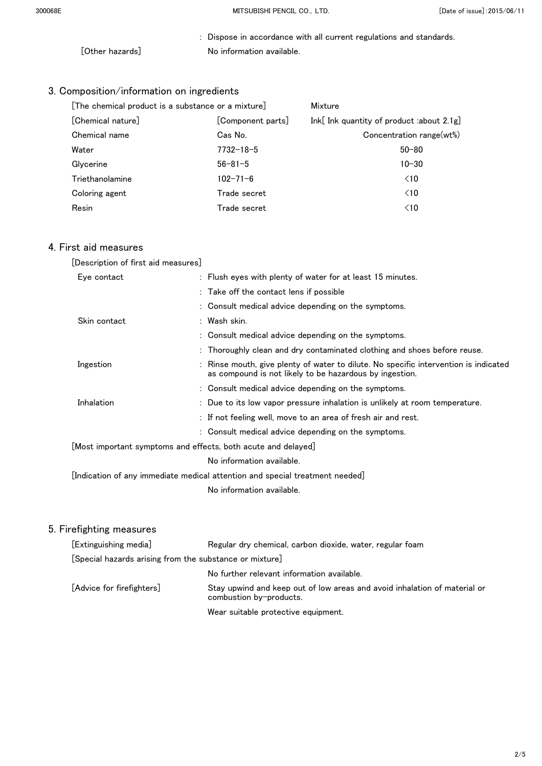: Dispose in accordance with all current regulations and standards. [Other hazards] No information available.

## 3. Composition/information on ingredients

| [The chemical product is a substance or a mixture] |                   | Mixture                                   |  |
|----------------------------------------------------|-------------------|-------------------------------------------|--|
| [Chemical nature]                                  | [Component parts] | Ink[ Ink quantity of product :about 2.1g] |  |
| Chemical name                                      | Cas No.           | Concentration range(wt%)                  |  |
| Water                                              | $7732 - 18 - 5$   | $50 - 80$                                 |  |
| Glycerine                                          | $56 - 81 - 5$     | $10 - 30$                                 |  |
| Triethanolamine                                    | $102 - 71 - 6$    | $\leq 10$                                 |  |
| Coloring agent                                     | Trade secret      | $\leq 10$                                 |  |
| Resin                                              | Trade secret      | $\leq 10$                                 |  |

## 4. First aid measures

| [Description of first aid measures]                           |                                                                                                                                                 |
|---------------------------------------------------------------|-------------------------------------------------------------------------------------------------------------------------------------------------|
| Eye contact                                                   | : Flush eyes with plenty of water for at least 15 minutes.                                                                                      |
|                                                               | : Take off the contact lens if possible                                                                                                         |
|                                                               | : Consult medical advice depending on the symptoms.                                                                                             |
| Skin contact                                                  | : Wash skin.                                                                                                                                    |
|                                                               | : Consult medical advice depending on the symptoms.                                                                                             |
|                                                               | : Thoroughly clean and dry contaminated clothing and shoes before reuse.                                                                        |
| Ingestion                                                     | : Rinse mouth, give plenty of water to dilute. No specific intervention is indicated<br>as compound is not likely to be hazardous by ingestion. |
|                                                               | : Consult medical advice depending on the symptoms.                                                                                             |
| Inhalation                                                    | : Due to its low vapor pressure inhalation is unlikely at room temperature.                                                                     |
|                                                               | : If not feeling well, move to an area of fresh air and rest.                                                                                   |
|                                                               | : Consult medical advice depending on the symptoms.                                                                                             |
| [Most important symptoms and effects, both acute and delayed] |                                                                                                                                                 |
|                                                               | No information available.                                                                                                                       |
|                                                               | [Indication of any immediate medical attention and special treatment needed]                                                                    |
|                                                               | No information available.                                                                                                                       |

| [Extinguishing media]                                   | Regular dry chemical, carbon dioxide, water, regular foam                                            |
|---------------------------------------------------------|------------------------------------------------------------------------------------------------------|
| [Special hazards arising from the substance or mixture] |                                                                                                      |
|                                                         | No further relevant information available.                                                           |
| [Advice for firefighters]                               | Stay upwind and keep out of low areas and avoid inhalation of material or<br>combustion by-products. |
|                                                         | Wear suitable protective equipment.                                                                  |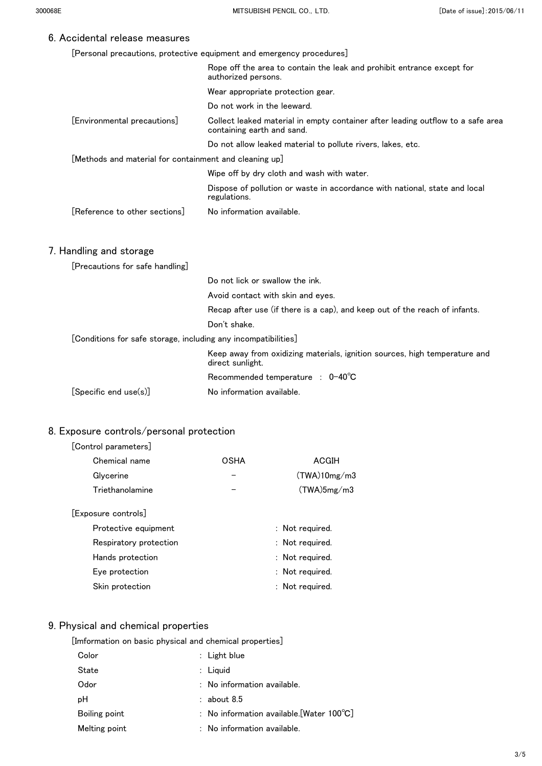[Personal precautions, protective equipment and emergency procedures]

|                                                                | Rope off the area to contain the leak and prohibit entrance except for<br>authorized persons.                 |
|----------------------------------------------------------------|---------------------------------------------------------------------------------------------------------------|
|                                                                | Wear appropriate protection gear.                                                                             |
|                                                                | Do not work in the leeward.                                                                                   |
| [Environmental precautions]                                    | Collect leaked material in empty container after leading outflow to a safe area<br>containing earth and sand. |
|                                                                | Do not allow leaked material to pollute rivers, lakes, etc.                                                   |
| [Methods and material for containment and cleaning up]         |                                                                                                               |
|                                                                | Wipe off by dry cloth and wash with water.                                                                    |
|                                                                | Dispose of pollution or waste in accordance with national, state and local<br>regulations.                    |
| [Reference to other sections]                                  | No information available.                                                                                     |
| 7. Handling and storage                                        |                                                                                                               |
| [Precautions for safe handling]                                |                                                                                                               |
|                                                                | Do not lick or swallow the ink.                                                                               |
|                                                                | Avoid contact with skin and eyes.                                                                             |
|                                                                | Recap after use (if there is a cap), and keep out of the reach of infants.                                    |
|                                                                | Don't shake.                                                                                                  |
| [Conditions for safe storage, including any incompatibilities] |                                                                                                               |
|                                                                | Keep away from oxidizing materials, ignition sources, high temperature and<br>direct sunlight.                |
|                                                                | Recommended temperature : 0-40°C                                                                              |
| [Specific end use(s)]                                          | No information available.                                                                                     |

### 8. Exposure controls/personal protection

#### [Control parameters]

| Chemical name    | OSHA | ACGIH        |
|------------------|------|--------------|
| Glycerine        |      | (TWA)10mg/m3 |
| Triethanolamine  |      | (TWA)5mg/m3  |
| posure controls] |      |              |

## $[Ex]$

| Protective equipment   | : Not required. |
|------------------------|-----------------|
| Respiratory protection | : Not required. |
| Hands protection       | : Not required. |
| Eye protection         | : Not required. |
| Skin protection        | : Not required. |

## 9. Physical and chemical properties

| Color         | $:$ Light blue                         |                                                     |
|---------------|----------------------------------------|-----------------------------------------------------|
| State         | $:$ Liguid                             |                                                     |
| Odor          | $\therefore$ No information available. |                                                     |
| рH            | $:$ about 8.5                          |                                                     |
| Boiling point |                                        | : No information available. [Water $100^{\circ}$ C] |
| Melting point | $:$ No information available.          |                                                     |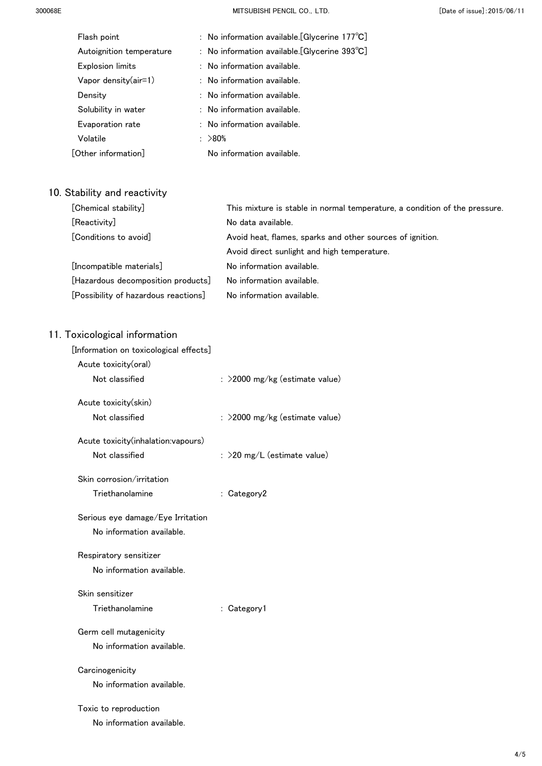| Flash point              | : No information available. [Glycerine $177^{\circ}C$ ] |  |
|--------------------------|---------------------------------------------------------|--|
| Autoignition temperature | : No information available. [Glycerine $393^{\circ}$ C] |  |
| <b>Explosion limits</b>  | $:$ No information available.                           |  |
| Vapor density $(air=1)$  | $:$ No information available.                           |  |
| Density                  | $:$ No information available.                           |  |
| Solubility in water      | $:$ No information available.                           |  |
| Evaporation rate         | $:$ No information available.                           |  |
| Volatile                 | : >80%                                                  |  |
| [Other information]      | No information available.                               |  |
|                          |                                                         |  |

## 10. Stability and reactivity

| [Chemical stability]                 | This mixture is stable in normal temperature, a condition of the pressure. |
|--------------------------------------|----------------------------------------------------------------------------|
| [Reactivity]                         | No data available.                                                         |
| [Conditions to avoid]                | Avoid heat, flames, sparks and other sources of ignition.                  |
|                                      | Avoid direct sunlight and high temperature.                                |
| [Incompatible materials]             | No information available.                                                  |
| [Hazardous decomposition products]   | No information available.                                                  |
| [Possibility of hazardous reactions] | No information available.                                                  |

| [Information on toxicological effects] |                                |
|----------------------------------------|--------------------------------|
| Acute toxicity(oral)                   |                                |
| Not classified                         | : >2000 mg/kg (estimate value) |
| Acute toxicity(skin)                   |                                |
| Not classified                         | : >2000 mg/kg (estimate value) |
| Acute toxicity(inhalation:vapours)     |                                |
| Not classified                         | : $>$ 20 mg/L (estimate value) |
| Skin corrosion/irritation              |                                |
| Triethanolamine                        | : Category2                    |
| Serious eye damage/Eye Irritation      |                                |
| No information available.              |                                |
| Respiratory sensitizer                 |                                |
| No information available.              |                                |
| Skin sensitizer                        |                                |
| Triethanolamine                        | : Category1                    |
| Germ cell mutagenicity                 |                                |
| No information available.              |                                |
| Carcinogenicity                        |                                |
| No information available.              |                                |
| Toxic to reproduction                  |                                |
| No information available.              |                                |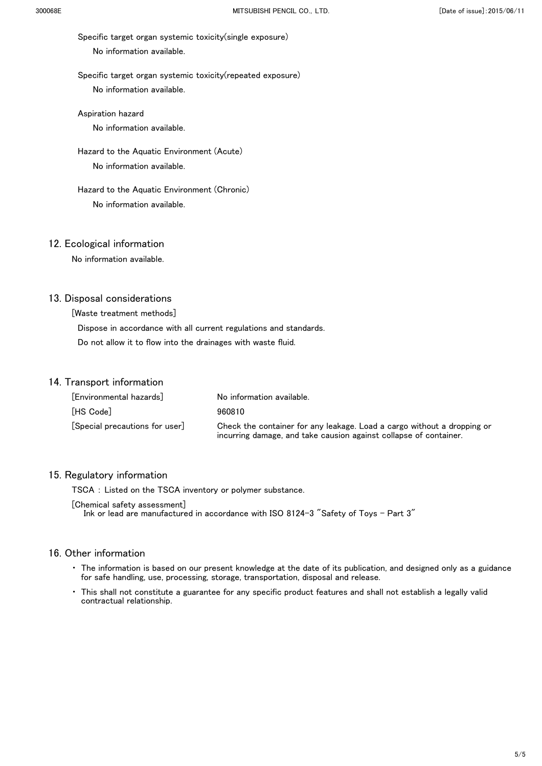Specific target organ systemic toxicity(single exposure) No information available.

 Specific target organ systemic toxicity(repeated exposure) No information available.

Aspiration hazard

No information available.

 Hazard to the Aquatic Environment (Acute) No information available.

 Hazard to the Aquatic Environment (Chronic) No information available.

#### 12. Ecological information

No information available.

#### 13. Disposal considerations

[Waste treatment methods]

 Dispose in accordance with all current regulations and standards. Do not allow it to flow into the drainages with waste fluid.

#### 14. Transport information

| [Environmental hazards]                        | No information available.                                                                                                                    |
|------------------------------------------------|----------------------------------------------------------------------------------------------------------------------------------------------|
| [HS Code]                                      | 960810                                                                                                                                       |
| $\lceil$ Special precautions for user $\rceil$ | Check the container for any leakage. Load a cargo without a dropping or<br>incurring damage, and take causion against collapse of container. |

#### 15. Regulatory information

TSCA : Listed on the TSCA inventory or polymer substance.

[Chemical safety assessment]

Ink or lead are manufactured in accordance with ISO 8124-3 "Safety of Toys - Part 3"

- ・ The information is based on our present knowledge at the date of its publication, and designed only as a guidance for safe handling, use, processing, storage, transportation, disposal and release.
- This shall not constitute a guarantee for any specific product features and shall not establish a legally valid contractual relationship.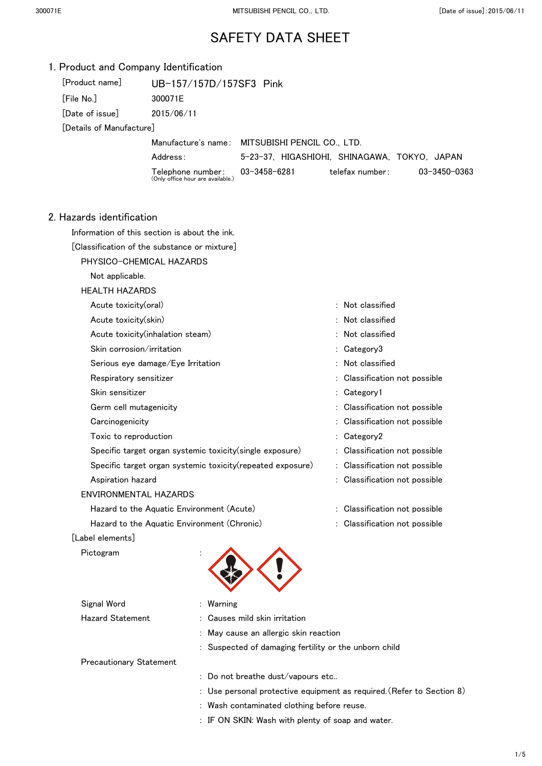| 1. Product and Company Identification |                                                            |                                                       |                                                                       |
|---------------------------------------|------------------------------------------------------------|-------------------------------------------------------|-----------------------------------------------------------------------|
| [Product name]                        | UB-157/157D/157SF3 Pink                                    |                                                       |                                                                       |
| [File No.]                            | 300071E                                                    |                                                       |                                                                       |
| [Date of issue]                       | 2015/06/11                                                 |                                                       |                                                                       |
| [Details of Manufacture]              |                                                            |                                                       |                                                                       |
|                                       |                                                            | Manufacture's name: MITSUBISHI PENCIL CO., LTD.       |                                                                       |
|                                       | Address:                                                   |                                                       | 5-23-37, HIGASHIOHI, SHINAGAWA, TOKYO, JAPAN                          |
|                                       | Telephone number:<br>(Only office hour are available.)     | 03-3458-6281                                          | telefax number:<br>03-3450-0363                                       |
|                                       |                                                            |                                                       |                                                                       |
| 2. Hazards identification             |                                                            |                                                       |                                                                       |
|                                       | Information of this section is about the ink.              |                                                       |                                                                       |
|                                       | [Classification of the substance or mixture]               |                                                       |                                                                       |
|                                       | PHYSICO-CHEMICAL HAZARDS                                   |                                                       |                                                                       |
| Not applicable.                       |                                                            |                                                       |                                                                       |
| <b>HEALTH HAZARDS</b>                 |                                                            |                                                       |                                                                       |
| Acute toxicity(oral)                  |                                                            |                                                       | : Not classified                                                      |
| Acute toxicity(skin)                  |                                                            |                                                       | : Not classified                                                      |
|                                       | Acute toxicity (inhalation steam)                          |                                                       | Not classified                                                        |
| Skin corrosion/irritation             |                                                            |                                                       | : Category3                                                           |
|                                       | Serious eye damage/Eye Irritation                          |                                                       | : Not classified                                                      |
| Respiratory sensitizer                |                                                            |                                                       | Classification not possible                                           |
| Skin sensitizer                       |                                                            |                                                       | Category1                                                             |
| Germ cell mutagenicity                |                                                            |                                                       | : Classification not possible                                         |
| Carcinogenicity                       |                                                            |                                                       | Classification not possible                                           |
| Toxic to reproduction                 |                                                            |                                                       | Category2                                                             |
|                                       | Specific target organ systemic toxicity (single exposure)  |                                                       | : Classification not possible                                         |
|                                       | Specific target organ systemic toxicity(repeated exposure) |                                                       | : Classification not possible                                         |
| Aspiration hazard                     |                                                            |                                                       | : Classification not possible                                         |
| <b>ENVIRONMENTAL HAZARDS</b>          |                                                            |                                                       |                                                                       |
|                                       | Hazard to the Aquatic Environment (Acute)                  |                                                       | : Classification not possible                                         |
|                                       | Hazard to the Aquatic Environment (Chronic)                |                                                       | : Classification not possible                                         |
| [Label elements]                      |                                                            |                                                       |                                                                       |
| Pictogram                             |                                                            |                                                       |                                                                       |
|                                       |                                                            |                                                       |                                                                       |
|                                       |                                                            |                                                       |                                                                       |
| Signal Word                           | : Warning                                                  |                                                       |                                                                       |
| <b>Hazard Statement</b>               |                                                            | Causes mild skin irritation                           |                                                                       |
|                                       |                                                            | May cause an allergic skin reaction                   |                                                                       |
|                                       |                                                            | : Suspected of damaging fertility or the unborn child |                                                                       |
| <b>Precautionary Statement</b>        |                                                            |                                                       |                                                                       |
|                                       |                                                            | Do not breathe dust/vapours etc                       |                                                                       |
|                                       |                                                            |                                                       | : Use personal protective equipment as required. (Refer to Section 8) |
|                                       |                                                            | : Wash contaminated clothing before reuse.            |                                                                       |
|                                       |                                                            | : IF ON SKIN: Wash with plenty of soap and water.     |                                                                       |
|                                       |                                                            |                                                       |                                                                       |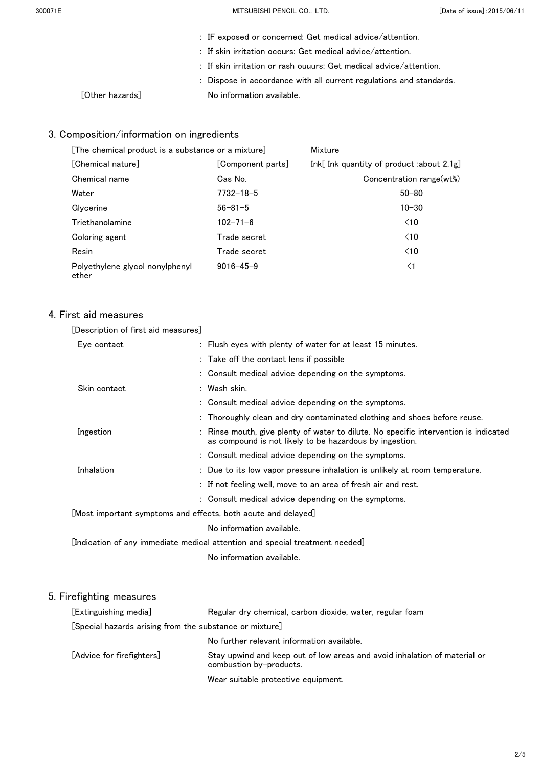| : IF exposed or concerned: Get medical advice/attention.              |
|-----------------------------------------------------------------------|
| $\therefore$ If skin irritation occurs: Get medical advice/attention. |

- : If skin irritation or rash ouuurs: Get medical advice/attention.
- : Dispose in accordance with all current regulations and standards. [Other hazards] No information available.

## 3. Composition/information on ingredients

| [The chemical product is a substance or a mixture] |                   | Mixture                                      |
|----------------------------------------------------|-------------------|----------------------------------------------|
| [Chemical nature]                                  | [Component parts] | Ink[ Ink quantity of product :about $2.1g$ ] |
| Chemical name                                      | Cas No.           | Concentration range(wt%)                     |
| Water                                              | $7732 - 18 - 5$   | $50 - 80$                                    |
| Glycerine                                          | $56 - 81 - 5$     | $10 - 30$                                    |
| Triethanolamine                                    | $102 - 71 - 6$    | $\leq 10$                                    |
| Coloring agent                                     | Trade secret      | $\leq 10$                                    |
| Resin                                              | Trade secret      | $\leq 10$                                    |
| Polyethylene glycol nonylphenyl<br>ether           | $9016 - 45 - 9$   | $\leq$ 1                                     |

### 4. First aid measures

| [Description of first aid measures]                           |                                                                                                                                                 |
|---------------------------------------------------------------|-------------------------------------------------------------------------------------------------------------------------------------------------|
| Eye contact                                                   | : Flush eyes with plenty of water for at least 15 minutes.                                                                                      |
|                                                               | : Take off the contact lens if possible                                                                                                         |
|                                                               | : Consult medical advice depending on the symptoms.                                                                                             |
| Skin contact                                                  | : Wash skin.                                                                                                                                    |
|                                                               | : Consult medical advice depending on the symptoms.                                                                                             |
|                                                               | : Thoroughly clean and dry contaminated clothing and shoes before reuse.                                                                        |
| Ingestion                                                     | : Rinse mouth, give plenty of water to dilute. No specific intervention is indicated<br>as compound is not likely to be hazardous by ingestion. |
|                                                               | : Consult medical advice depending on the symptoms.                                                                                             |
| Inhalation                                                    | : Due to its low vapor pressure inhalation is unlikely at room temperature.                                                                     |
|                                                               | : If not feeling well, move to an area of fresh air and rest.                                                                                   |
|                                                               | : Consult medical advice depending on the symptoms.                                                                                             |
| [Most important symptoms and effects, both acute and delayed] |                                                                                                                                                 |
|                                                               | No information available.                                                                                                                       |
|                                                               | [Indication of any immediate medical attention and special treatment needed]                                                                    |
|                                                               | No information available.                                                                                                                       |
|                                                               |                                                                                                                                                 |

| [Extinguishing media]                                   | Regular dry chemical, carbon dioxide, water, regular foam                                            |
|---------------------------------------------------------|------------------------------------------------------------------------------------------------------|
| [Special hazards arising from the substance or mixture] |                                                                                                      |
|                                                         | No further relevant information available.                                                           |
| [Advice for firefighters]                               | Stay upwind and keep out of low areas and avoid inhalation of material or<br>combustion by-products. |
|                                                         | Wear suitable protective equipment.                                                                  |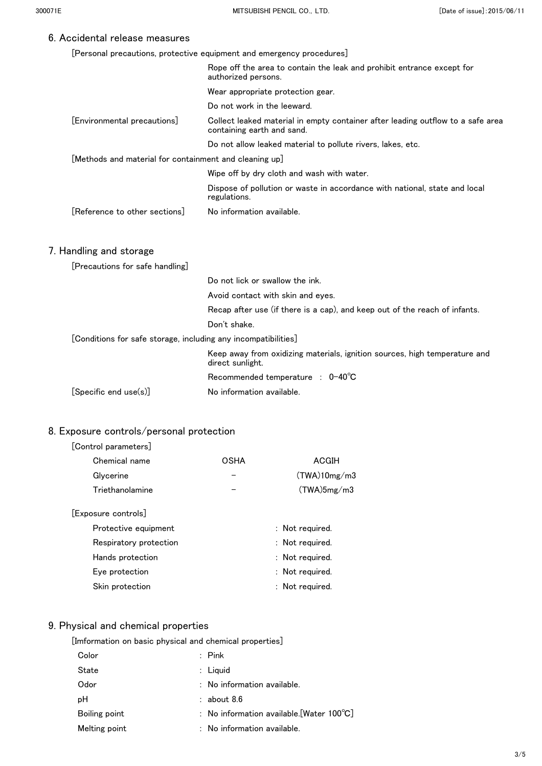[Personal precautions, protective equipment and emergency procedures]

|                                                                | Rope off the area to contain the leak and prohibit entrance except for<br>authorized persons.                 |
|----------------------------------------------------------------|---------------------------------------------------------------------------------------------------------------|
|                                                                | Wear appropriate protection gear.                                                                             |
|                                                                | Do not work in the leeward.                                                                                   |
| [Environmental precautions]                                    | Collect leaked material in empty container after leading outflow to a safe area<br>containing earth and sand. |
|                                                                | Do not allow leaked material to pollute rivers, lakes, etc.                                                   |
| [Methods and material for containment and cleaning up]         |                                                                                                               |
|                                                                | Wipe off by dry cloth and wash with water.                                                                    |
|                                                                | Dispose of pollution or waste in accordance with national, state and local<br>regulations.                    |
| [Reference to other sections]                                  | No information available.                                                                                     |
|                                                                |                                                                                                               |
| 7. Handling and storage                                        |                                                                                                               |
| [Precautions for safe handling]                                |                                                                                                               |
|                                                                | Do not lick or swallow the ink.                                                                               |
|                                                                | Avoid contact with skin and eyes.                                                                             |
|                                                                | Recap after use (if there is a cap), and keep out of the reach of infants.                                    |
|                                                                | Don't shake.                                                                                                  |
| [Conditions for safe storage, including any incompatibilities] |                                                                                                               |
|                                                                | Keep away from oxidizing materials, ignition sources, high temperature and<br>direct sunlight.                |
|                                                                | Recommended temperature : 0-40°C                                                                              |
| [Specific end use(s)]                                          | No information available.                                                                                     |
|                                                                |                                                                                                               |

## 8. Exposure controls/personal protection

#### [Control parameters]

| Chemical name       | <b>OSHA</b> | ACGIH        |
|---------------------|-------------|--------------|
| Glycerine           |             | (TWA)10mg/m3 |
| Triethanolamine     |             | (TWA)5mg/m3  |
| [Exposure controls] |             |              |

| Protective equipment   | : Not required. |
|------------------------|-----------------|
| Respiratory protection | : Not required. |
| Hands protection       | : Not required. |
| Eye protection         | : Not required. |
| Skin protection        | : Not required. |

## 9. Physical and chemical properties

| [Imformation on basic physical and chemical properties] |  |  |  |
|---------------------------------------------------------|--|--|--|
|                                                         |  |  |  |

| Color         | $\therefore$ Pink                                   |  |
|---------------|-----------------------------------------------------|--|
| State         | $:$ Liquid                                          |  |
| Odor          | $:$ No information available.                       |  |
| рH            | $:$ about 8.6                                       |  |
| Boiling point | : No information available. [Water $100^{\circ}$ C] |  |
| Melting point | $:$ No information available.                       |  |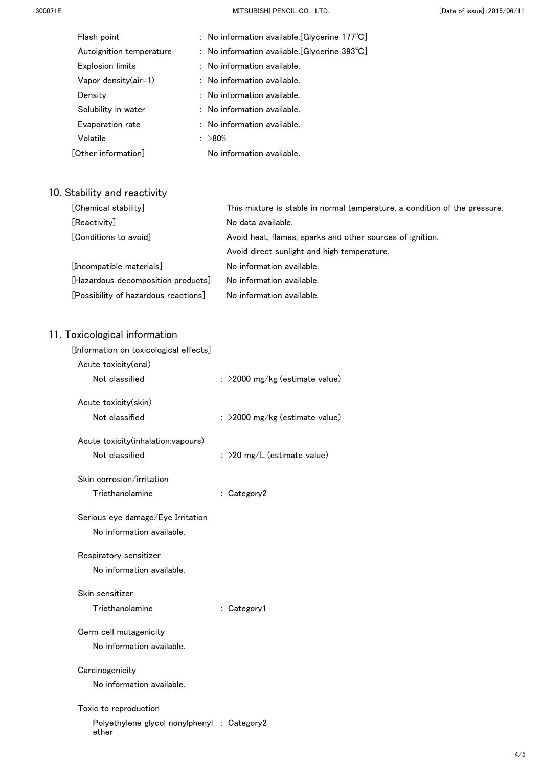300071E MITSUBISHI PENCIL CO.,LTD. [Date of issue]:2015/06/11

| Flash point              | : No information available. [Glycerine $177^{\circ}C$ ] |  |
|--------------------------|---------------------------------------------------------|--|
| Autoignition temperature | : No information available. [Glycerine $393^{\circ}$ C] |  |
| Explosion limits         | : No information available.                             |  |
| Vapor density $(air=1)$  | $:$ No information available.                           |  |
| Density                  | $:$ No information available.                           |  |
| Solubility in water      | $:$ No information available.                           |  |
| Evaporation rate         | : No information available.                             |  |
| Volatile                 | : >80%                                                  |  |
| [Other information]      | No information available.                               |  |
|                          |                                                         |  |

## 10. Stability and reactivity

| [Chemical stability]                 | This mixture is stable in normal temperature, a condition of the pressure. |  |
|--------------------------------------|----------------------------------------------------------------------------|--|
| [Reactivity]                         | No data available.                                                         |  |
| [Conditions to avoid]                | Avoid heat, flames, sparks and other sources of ignition.                  |  |
|                                      | Avoid direct sunlight and high temperature.                                |  |
| [Incompatible materials]             | No information available.                                                  |  |
| [Hazardous decomposition products]   | No information available.                                                  |  |
| [Possibility of hazardous reactions] | No information available.                                                  |  |

| [Information on toxicological effects]               |                                  |
|------------------------------------------------------|----------------------------------|
| Acute toxicity(oral)                                 |                                  |
| Not classified                                       | : >2000 mg/kg (estimate value)   |
| Acute toxicity(skin)                                 |                                  |
| Not classified                                       | $:$ >2000 mg/kg (estimate value) |
| Acute toxicity(inhalation:vapours)                   |                                  |
| Not classified                                       | : $>$ 20 mg/L (estimate value)   |
| Skin corrosion/irritation                            |                                  |
| Triethanolamine                                      | : Category2                      |
| Serious eye damage/Eye Irritation                    |                                  |
| No information available.                            |                                  |
| Respiratory sensitizer                               |                                  |
| No information available.                            |                                  |
| Skin sensitizer                                      |                                  |
| Triethanolamine                                      | : Category1                      |
| Germ cell mutagenicity                               |                                  |
| No information available.                            |                                  |
| Carcinogenicity                                      |                                  |
| No information available.                            |                                  |
| Toxic to reproduction                                |                                  |
| Polyethylene glycol nonylphenyl : Category2<br>ether |                                  |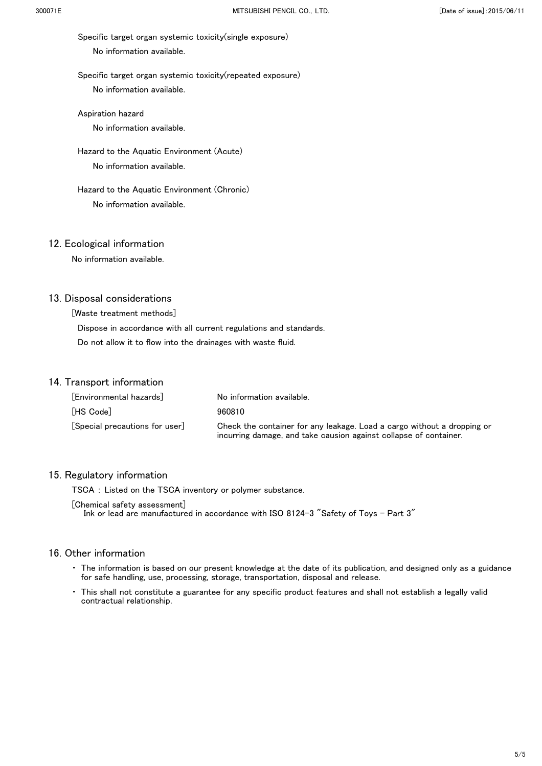Specific target organ systemic toxicity(single exposure) No information available.

 Specific target organ systemic toxicity(repeated exposure) No information available.

Aspiration hazard

No information available.

 Hazard to the Aquatic Environment (Acute) No information available.

 Hazard to the Aquatic Environment (Chronic) No information available.

#### 12. Ecological information

No information available.

#### 13. Disposal considerations

[Waste treatment methods]

 Dispose in accordance with all current regulations and standards. Do not allow it to flow into the drainages with waste fluid.

#### 14. Transport information

| [Environmental hazards]                        | No information available.                                                                                                                    |
|------------------------------------------------|----------------------------------------------------------------------------------------------------------------------------------------------|
| [HS Code]                                      | 960810                                                                                                                                       |
| $\lceil$ Special precautions for user $\rceil$ | Check the container for any leakage. Load a cargo without a dropping or<br>incurring damage, and take causion against collapse of container. |

#### 15. Regulatory information

TSCA : Listed on the TSCA inventory or polymer substance.

[Chemical safety assessment]

Ink or lead are manufactured in accordance with ISO 8124-3 "Safety of Toys - Part 3"

- ・ The information is based on our present knowledge at the date of its publication, and designed only as a guidance for safe handling, use, processing, storage, transportation, disposal and release.
- This shall not constitute a guarantee for any specific product features and shall not establish a legally valid contractual relationship.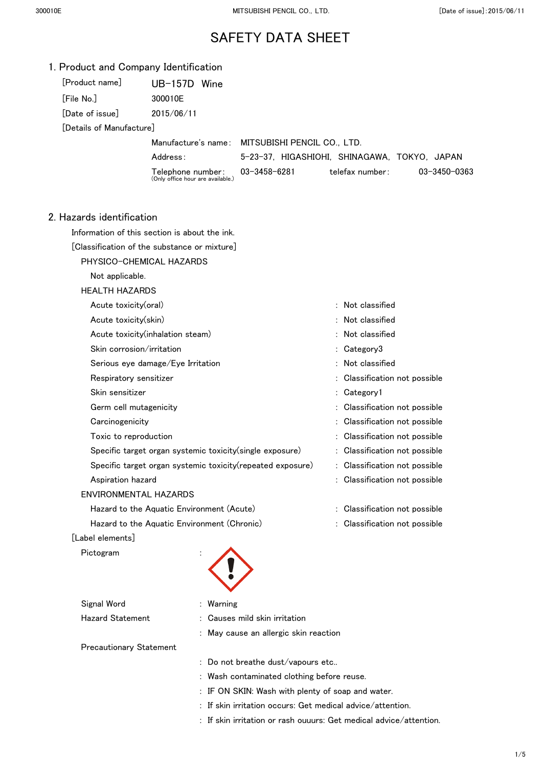| [Product name]           | $UB-157D$<br>Wine                                      |                                                 |                 |              |
|--------------------------|--------------------------------------------------------|-------------------------------------------------|-----------------|--------------|
| [File No.]               | 300010E                                                |                                                 |                 |              |
| [Date of issue]          | 2015/06/11                                             |                                                 |                 |              |
| [Details of Manufacture] |                                                        |                                                 |                 |              |
|                          |                                                        | Manufacture's name: MITSUBISHI PENCIL CO., LTD. |                 |              |
|                          | Address:                                               | 5-23-37, HIGASHIOHI, SHINAGAWA, TOKYO, JAPAN    |                 |              |
|                          | Telephone number:<br>(Only office hour are available.) | 03-3458-6281                                    | telefax number: | 03-3450-0363 |
|                          |                                                        |                                                 |                 |              |
|                          |                                                        |                                                 |                 |              |

#### 2. Hazards identification

Information of this section is about the ink.

[Classification of the substance or mixture]

PHYSICO-CHEMICAL HAZARDS

Not applicable.

#### HEALTH HAZARDS

| Acute toxicity(oral)                                        | $:$ Not classified            |
|-------------------------------------------------------------|-------------------------------|
| Acute toxicity(skin)                                        | : Not classified              |
| Acute toxicity (inhalation steam)                           | : Not classified              |
| Skin corrosion/irritation                                   | : Category3                   |
| Serious eye damage/Eye Irritation                           | $:$ Not classified            |
| Respiratory sensitizer                                      | : Classification not possible |
| Skin sensitizer                                             | : Category1                   |
| Germ cell mutagenicity                                      | : Classification not possible |
| Carcinogenicity                                             | : Classification not possible |
| Toxic to reproduction                                       | : Classification not possible |
| Specific target organ systemic toxicity(single exposure)    | : Classification not possible |
| Specific target organ systemic toxicity (repeated exposure) | : Classification not possible |
| Aspiration hazard                                           | : Classification not possible |
| ENVIRONMENTAL HAZARDS                                       |                               |
| Hazard to the Aquatic Environment (Acute)                   | : Classification not possible |
| Hazard to the Aquatic Environment (Chronic)                 | Classification not possible   |
|                                                             |                               |

#### [Label elements]

Pictogram

| <b>PICTOgram</b>               | ٠                                     |  |  |
|--------------------------------|---------------------------------------|--|--|
| Signal Word                    | : Warning                             |  |  |
| <b>Hazard Statement</b>        | : Causes mild skin irritation         |  |  |
|                                | : May cause an allergic skin reaction |  |  |
| <b>Precautionary Statement</b> |                                       |  |  |
|                                |                                       |  |  |

: Do not breathe dust/vapours etc..

- : Wash contaminated clothing before reuse.
- : IF ON SKIN: Wash with plenty of soap and water.
- : If skin irritation occurs: Get medical advice/attention.
- : If skin irritation or rash ouuurs: Get medical advice/attention.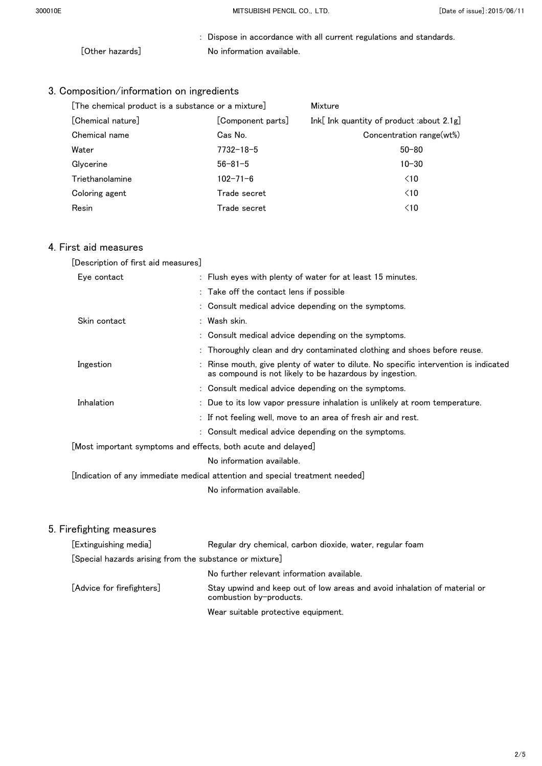: Dispose in accordance with all current regulations and standards. [Other hazards] No information available.

## 3. Composition/information on ingredients

| [The chemical product is a substance or a mixture] |                   | Mixture                                   |  |
|----------------------------------------------------|-------------------|-------------------------------------------|--|
| [Chemical nature]                                  | [Component parts] | Ink[ Ink quantity of product :about 2.1g] |  |
| Chemical name                                      | Cas No.           | Concentration range(wt%)                  |  |
| Water                                              | $7732 - 18 - 5$   | $50 - 80$                                 |  |
| Glycerine                                          | $56 - 81 - 5$     | $10 - 30$                                 |  |
| Triethanolamine                                    | $102 - 71 - 6$    | $\leq 10$                                 |  |
| Coloring agent                                     | Trade secret      | $\leq 10$                                 |  |
| Resin                                              | Trade secret      | $\leq 10$                                 |  |

## 4. First aid measures

| [Description of first aid measures]                                          |                                                                                                                                                 |  |  |
|------------------------------------------------------------------------------|-------------------------------------------------------------------------------------------------------------------------------------------------|--|--|
| Eye contact                                                                  | : Flush eyes with plenty of water for at least 15 minutes.                                                                                      |  |  |
|                                                                              | : Take off the contact lens if possible                                                                                                         |  |  |
|                                                                              | : Consult medical advice depending on the symptoms.                                                                                             |  |  |
| Skin contact                                                                 | : Wash skin.                                                                                                                                    |  |  |
|                                                                              | : Consult medical advice depending on the symptoms.                                                                                             |  |  |
|                                                                              | : Thoroughly clean and dry contaminated clothing and shoes before reuse.                                                                        |  |  |
| Ingestion                                                                    | : Rinse mouth, give plenty of water to dilute. No specific intervention is indicated<br>as compound is not likely to be hazardous by ingestion. |  |  |
|                                                                              | : Consult medical advice depending on the symptoms.                                                                                             |  |  |
| Inhalation                                                                   | : Due to its low vapor pressure inhalation is unlikely at room temperature.                                                                     |  |  |
|                                                                              | : If not feeling well, move to an area of fresh air and rest.                                                                                   |  |  |
|                                                                              | : Consult medical advice depending on the symptoms.                                                                                             |  |  |
| [Most important symptoms and effects, both acute and delayed]                |                                                                                                                                                 |  |  |
| No information available.                                                    |                                                                                                                                                 |  |  |
| [Indication of any immediate medical attention and special treatment needed] |                                                                                                                                                 |  |  |
|                                                                              | No information available.                                                                                                                       |  |  |

| [Extinguishing media]                                   | Regular dry chemical, carbon dioxide, water, regular foam                                            |  |  |
|---------------------------------------------------------|------------------------------------------------------------------------------------------------------|--|--|
| [Special hazards arising from the substance or mixture] |                                                                                                      |  |  |
|                                                         | No further relevant information available.                                                           |  |  |
| [Advice for firefighters]                               | Stay upwind and keep out of low areas and avoid inhalation of material or<br>combustion by-products. |  |  |
|                                                         | Wear suitable protective equipment.                                                                  |  |  |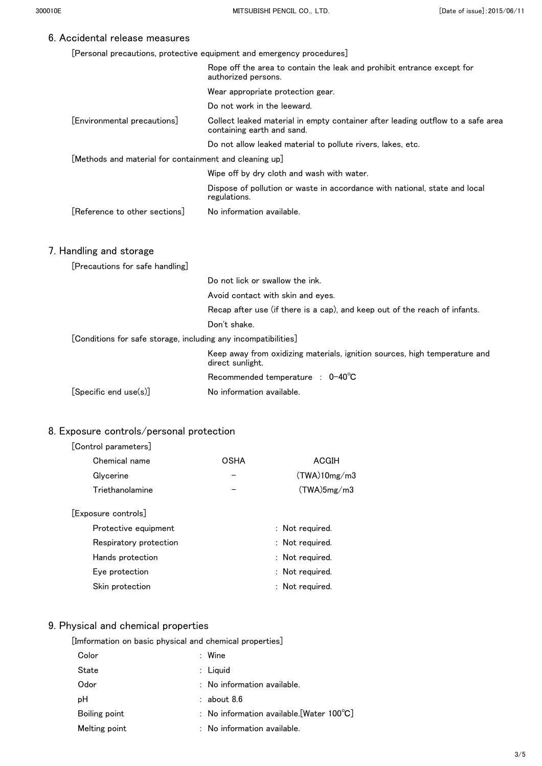[Personal precautions, protective equipment and emergency procedures]

|                                                                | Rope off the area to contain the leak and prohibit entrance except for<br>authorized persons.                 |
|----------------------------------------------------------------|---------------------------------------------------------------------------------------------------------------|
|                                                                | Wear appropriate protection gear.                                                                             |
|                                                                | Do not work in the leeward.                                                                                   |
| [Environmental precautions]                                    | Collect leaked material in empty container after leading outflow to a safe area<br>containing earth and sand. |
|                                                                | Do not allow leaked material to pollute rivers, lakes, etc.                                                   |
| [Methods and material for containment and cleaning up]         |                                                                                                               |
|                                                                | Wipe off by dry cloth and wash with water.                                                                    |
|                                                                | Dispose of pollution or waste in accordance with national, state and local<br>regulations.                    |
| [Reference to other sections]                                  | No information available.                                                                                     |
|                                                                |                                                                                                               |
| 7. Handling and storage                                        |                                                                                                               |
| [Precautions for safe handling]                                |                                                                                                               |
|                                                                | Do not lick or swallow the ink.                                                                               |
|                                                                | Avoid contact with skin and eyes.                                                                             |
|                                                                | Recap after use (if there is a cap), and keep out of the reach of infants.                                    |
|                                                                | Don't shake.                                                                                                  |
| [Conditions for safe storage, including any incompatibilities] |                                                                                                               |
|                                                                | Keep away from oxidizing materials, ignition sources, high temperature and<br>direct sunlight.                |
|                                                                | Recommended temperature : 0-40°C                                                                              |
| [Specific end use(s)]                                          | No information available.                                                                                     |

### 8. Exposure controls/personal protection

#### [Control parameters]

| Chemical name       | OSHA | ACGIH        |
|---------------------|------|--------------|
| Glycerine           |      | (TWA)10mg/m3 |
| Triethanolamine     |      | (TWA)5mg/m3  |
| [Exposure controls] |      |              |

| Protective equipment   | : Not required. |
|------------------------|-----------------|
| Respiratory protection | : Not required. |
| Hands protection       | : Not required. |
| Eye protection         | : Not required. |
| Skin protection        | : Not required. |

## 9. Physical and chemical properties

| [Imformation on basic physical and chemical properties] |  |  |  |  |
|---------------------------------------------------------|--|--|--|--|
|                                                         |  |  |  |  |

| Color         | $:$ Wine                                            |  |
|---------------|-----------------------------------------------------|--|
| <b>State</b>  | $:$ Liquid                                          |  |
| Odor          | $:$ No information available.                       |  |
| рH            | $:$ about 8.6                                       |  |
| Boiling point | : No information available. [Water $100^{\circ}$ C] |  |
| Melting point | $:$ No information available.                       |  |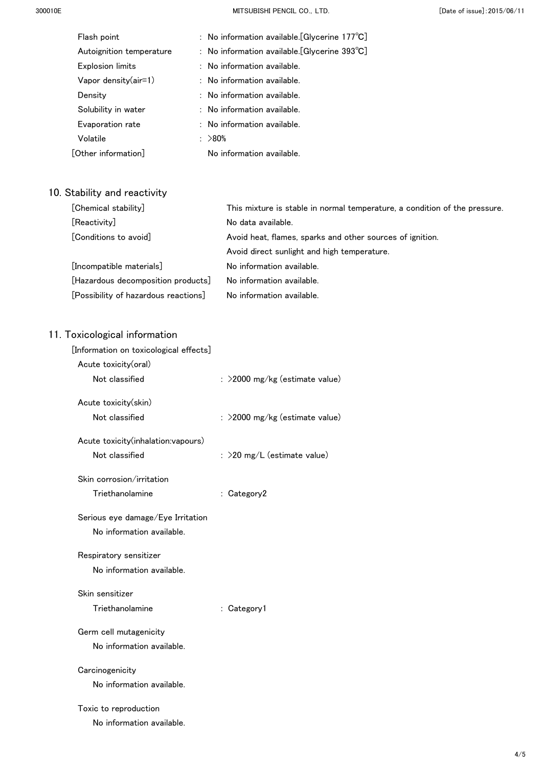300010E MITSUBISHI PENCIL CO.,LTD. [Date of issue]:2015/06/11

| Flash point              | : No information available. [Glycerine $177^{\circ}C$ ] |  |
|--------------------------|---------------------------------------------------------|--|
| Autoignition temperature | : No information available. [Glycerine $393^{\circ}$ C] |  |
| <b>Explosion limits</b>  | : No information available.                             |  |
| Vapor density $(air=1)$  | $:$ No information available.                           |  |
| Density                  | : No information available.                             |  |
| Solubility in water      | $:$ No information available.                           |  |
| Evaporation rate         | $:$ No information available.                           |  |
| Volatile                 | : $>80\%$                                               |  |
| [Other information]      | No information available.                               |  |
|                          |                                                         |  |

## 10. Stability and reactivity

| [Chemical stability]                 | This mixture is stable in normal temperature, a condition of the pressure. |
|--------------------------------------|----------------------------------------------------------------------------|
| [Reactivity]                         | No data available.                                                         |
| [Conditions to avoid]                | Avoid heat, flames, sparks and other sources of ignition.                  |
|                                      | Avoid direct sunlight and high temperature.                                |
| [Incompatible materials]             | No information available.                                                  |
| [Hazardous decomposition products]   | No information available.                                                  |
| [Possibility of hazardous reactions] | No information available.                                                  |

| [Information on toxicological effects] |                                   |
|----------------------------------------|-----------------------------------|
| Acute toxicity(oral)                   |                                   |
| Not classified                         | : >2000 mg/kg (estimate value)    |
| Acute toxicity(skin)                   |                                   |
| Not classified                         | : $>$ 2000 mg/kg (estimate value) |
| Acute toxicity(inhalation:vapours)     |                                   |
| Not classified                         | : $>$ 20 mg/L (estimate value)    |
| Skin corrosion/irritation              |                                   |
| Triethanolamine                        | : Category2                       |
| Serious eye damage/Eye Irritation      |                                   |
| No information available.              |                                   |
| Respiratory sensitizer                 |                                   |
| No information available.              |                                   |
| Skin sensitizer                        |                                   |
| Triethanolamine                        | : Category1                       |
| Germ cell mutagenicity                 |                                   |
| No information available.              |                                   |
| Carcinogenicity                        |                                   |
| No information available.              |                                   |
| Toxic to reproduction                  |                                   |
| No information available.              |                                   |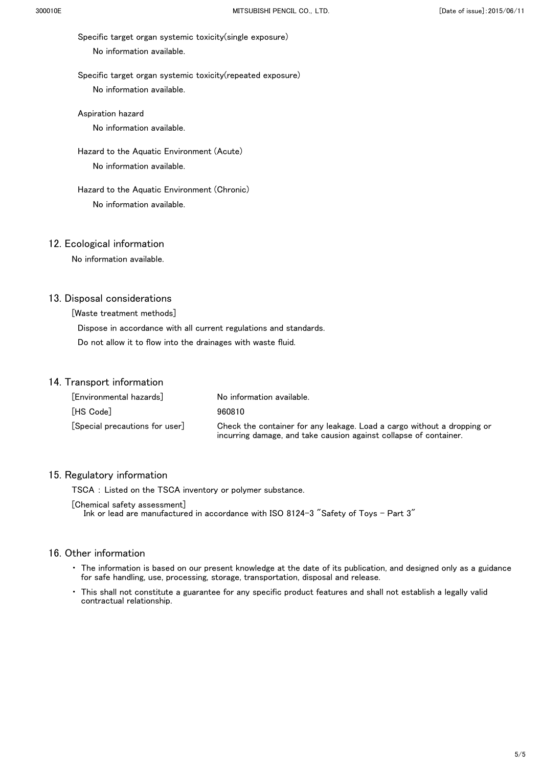Specific target organ systemic toxicity(single exposure) No information available.

 Specific target organ systemic toxicity(repeated exposure) No information available.

 Aspiration hazard No information available.

Hazard to the Aquatic Environment (Acute)

No information available.

 Hazard to the Aquatic Environment (Chronic) No information available.

#### 12. Ecological information

No information available.

#### 13. Disposal considerations

[Waste treatment methods]

 Dispose in accordance with all current regulations and standards. Do not allow it to flow into the drainages with waste fluid.

#### 14. Transport information

| [Environmental hazards]                        | No information available.                                                                                                                    |
|------------------------------------------------|----------------------------------------------------------------------------------------------------------------------------------------------|
| [HS Code]                                      | 960810                                                                                                                                       |
| $\lceil$ Special precautions for user $\rceil$ | Check the container for any leakage. Load a cargo without a dropping or<br>incurring damage, and take causion against collapse of container. |

#### 15. Regulatory information

TSCA : Listed on the TSCA inventory or polymer substance.

[Chemical safety assessment]

Ink or lead are manufactured in accordance with ISO 8124-3 "Safety of Toys - Part 3"

- ・ The information is based on our present knowledge at the date of its publication, and designed only as a guidance for safe handling, use, processing, storage, transportation, disposal and release.
- This shall not constitute a guarantee for any specific product features and shall not establish a legally valid contractual relationship.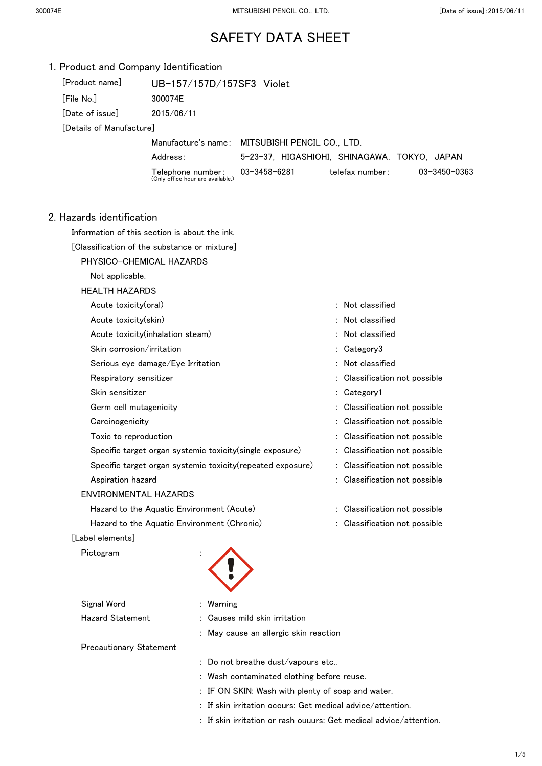| 1. Product and Company Identification |                                                             |                                                 |                               |              |
|---------------------------------------|-------------------------------------------------------------|-------------------------------------------------|-------------------------------|--------------|
| [Product name]                        | UB-157/157D/157SF3 Violet                                   |                                                 |                               |              |
| [File No.]                            | 300074E                                                     |                                                 |                               |              |
| [Date of issue]                       | 2015/06/11                                                  |                                                 |                               |              |
| [Details of Manufacture]              |                                                             |                                                 |                               |              |
|                                       |                                                             | Manufacture's name: MITSUBISHI PENCIL CO., LTD. |                               |              |
|                                       | Address:                                                    | 5-23-37, HIGASHIOHI, SHINAGAWA, TOKYO, JAPAN    |                               |              |
|                                       | Telephone number:<br>(Only office hour are available.)      | $03 - 3458 - 6281$                              | telefax number:               | 03-3450-0363 |
| 2. Hazards identification             |                                                             |                                                 |                               |              |
|                                       | Information of this section is about the ink.               |                                                 |                               |              |
|                                       | [Classification of the substance or mixture]                |                                                 |                               |              |
|                                       | PHYSICO-CHEMICAL HAZARDS                                    |                                                 |                               |              |
| Not applicable.                       |                                                             |                                                 |                               |              |
| <b>HEALTH HAZARDS</b>                 |                                                             |                                                 |                               |              |
| Acute toxicity(oral)                  |                                                             |                                                 | : Not classified              |              |
| Acute toxicity(skin)                  |                                                             |                                                 | Not classified                |              |
|                                       | Acute toxicity(inhalation steam)                            |                                                 | Not classified                |              |
| Skin corrosion/irritation             |                                                             |                                                 | : Category3                   |              |
|                                       | Serious eye damage/Eye Irritation                           |                                                 | Not classified                |              |
| Respiratory sensitizer                |                                                             |                                                 | Classification not possible   |              |
| Skin sensitizer                       |                                                             |                                                 | : Category1                   |              |
| Germ cell mutagenicity                |                                                             |                                                 | Classification not possible   |              |
| Carcinogenicity                       |                                                             |                                                 | Classification not possible   |              |
| Toxic to reproduction                 |                                                             |                                                 | Classification not possible   |              |
|                                       | Specific target organ systemic toxicity (single exposure)   |                                                 | : Classification not possible |              |
|                                       | Specific target organ systemic toxicity (repeated exposure) |                                                 | : Classification not possible |              |
| Aspiration hazard                     |                                                             |                                                 | : Classification not possible |              |
| <b>ENVIRONMENTAL HAZARDS</b>          |                                                             |                                                 |                               |              |
|                                       | Hazard to the Aquatic Environment (Acute)                   |                                                 | : Classification not possible |              |
|                                       | Hazard to the Aquatic Environment (Chronic)                 |                                                 | : Classification not possible |              |
| [Label elements]                      |                                                             |                                                 |                               |              |
| Pictogram                             |                                                             |                                                 |                               |              |
| Signal Word                           | : Warning                                                   |                                                 |                               |              |
| <b>Hazard Statement</b>               |                                                             | Causes mild skin irritation                     |                               |              |
|                                       |                                                             | : May cause an allergic skin reaction           |                               |              |
| <b>Precautionary Statement</b>        |                                                             |                                                 |                               |              |
|                                       |                                                             | : Do not breathe dust/vapours etc               |                               |              |
|                                       |                                                             | : Wash contaminated clothing before reuse.      |                               |              |

- : IF ON SKIN: Wash with plenty of soap and water.
- : If skin irritation occurs: Get medical advice/attention.
- : If skin irritation or rash ouuurs: Get medical advice/attention.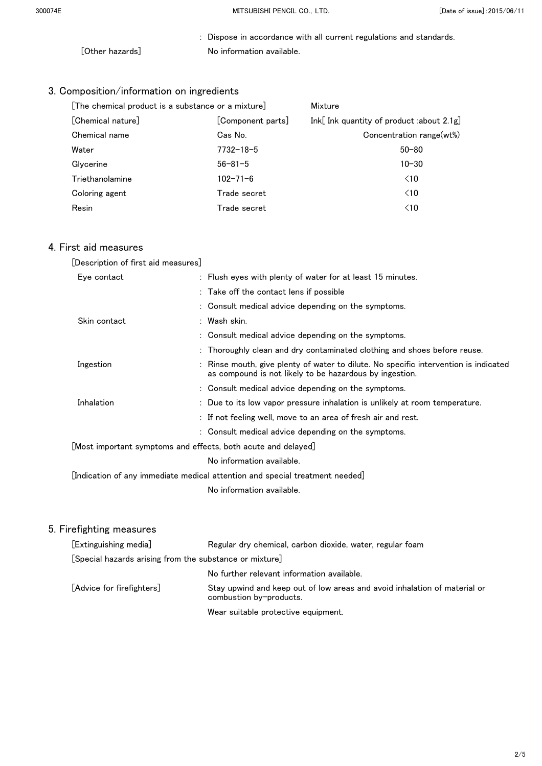: Dispose in accordance with all current regulations and standards. [Other hazards] No information available.

## 3. Composition/information on ingredients

| [The chemical product is a substance or a mixture] |                   | Mixture                                   |  |
|----------------------------------------------------|-------------------|-------------------------------------------|--|
| [Chemical nature]                                  | [Component parts] | Ink[ Ink quantity of product :about 2.1g] |  |
| Chemical name                                      | Cas No.           | Concentration range(wt%)                  |  |
| Water                                              | $7732 - 18 - 5$   | $50 - 80$                                 |  |
| Glycerine                                          | $56 - 81 - 5$     | $10 - 30$                                 |  |
| Triethanolamine                                    | $102 - 71 - 6$    | $\leq 10$                                 |  |
| Coloring agent                                     | Trade secret      | $\leq 10$                                 |  |
| Resin                                              | Trade secret      | $\leq 10$                                 |  |

## 4. First aid measures

| [Description of first aid measures]                           |                                                                                                                                                 |
|---------------------------------------------------------------|-------------------------------------------------------------------------------------------------------------------------------------------------|
| Eye contact                                                   | : Flush eyes with plenty of water for at least 15 minutes.                                                                                      |
|                                                               | : Take off the contact lens if possible                                                                                                         |
|                                                               | : Consult medical advice depending on the symptoms.                                                                                             |
| Skin contact                                                  | : Wash skin.                                                                                                                                    |
|                                                               | : Consult medical advice depending on the symptoms.                                                                                             |
|                                                               | : Thoroughly clean and dry contaminated clothing and shoes before reuse.                                                                        |
| Ingestion                                                     | : Rinse mouth, give plenty of water to dilute. No specific intervention is indicated<br>as compound is not likely to be hazardous by ingestion. |
|                                                               | : Consult medical advice depending on the symptoms.                                                                                             |
| Inhalation                                                    | : Due to its low vapor pressure inhalation is unlikely at room temperature.                                                                     |
|                                                               | : If not feeling well, move to an area of fresh air and rest.                                                                                   |
|                                                               | : Consult medical advice depending on the symptoms.                                                                                             |
| [Most important symptoms and effects, both acute and delayed] |                                                                                                                                                 |
|                                                               | No information available.                                                                                                                       |
|                                                               | [Indication of any immediate medical attention and special treatment needed]                                                                    |
|                                                               | No information available.                                                                                                                       |

| [Extinguishing media]                                   | Regular dry chemical, carbon dioxide, water, regular foam                                            |
|---------------------------------------------------------|------------------------------------------------------------------------------------------------------|
| [Special hazards arising from the substance or mixture] |                                                                                                      |
|                                                         | No further relevant information available.                                                           |
| [Advice for firefighters]                               | Stay upwind and keep out of low areas and avoid inhalation of material or<br>combustion by-products. |
|                                                         | Wear suitable protective equipment.                                                                  |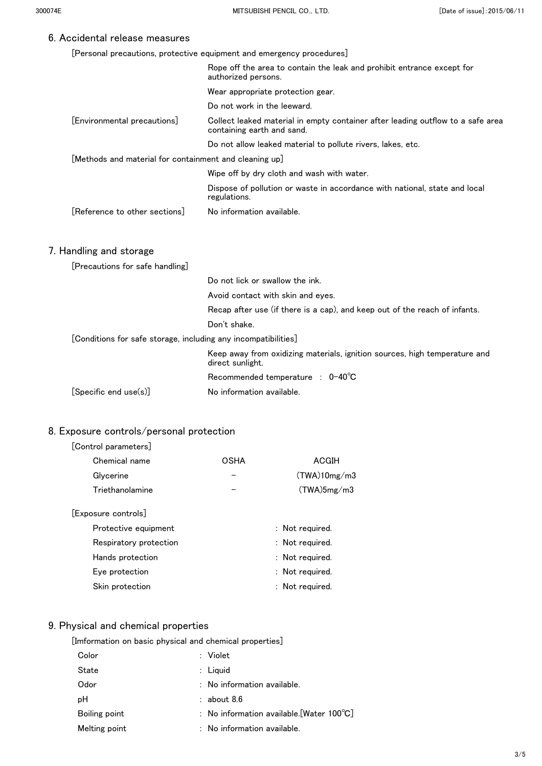[Personal precautions, protective equipment and emergency procedures]

|                                                                | Rope off the area to contain the leak and prohibit entrance except for<br>authorized persons.                 |
|----------------------------------------------------------------|---------------------------------------------------------------------------------------------------------------|
|                                                                | Wear appropriate protection gear.                                                                             |
|                                                                | Do not work in the leeward.                                                                                   |
| [Environmental precautions]                                    | Collect leaked material in empty container after leading outflow to a safe area<br>containing earth and sand. |
|                                                                | Do not allow leaked material to pollute rivers, lakes, etc.                                                   |
| [Methods and material for containment and cleaning up]         |                                                                                                               |
|                                                                | Wipe off by dry cloth and wash with water.                                                                    |
|                                                                | Dispose of pollution or waste in accordance with national, state and local<br>regulations.                    |
| [Reference to other sections]                                  | No information available.                                                                                     |
| 7. Handling and storage                                        |                                                                                                               |
| [Precautions for safe handling]                                |                                                                                                               |
|                                                                | Do not lick or swallow the ink.                                                                               |
|                                                                | Avoid contact with skin and eyes.                                                                             |
|                                                                | Recap after use (if there is a cap), and keep out of the reach of infants.                                    |
|                                                                | Don't shake.                                                                                                  |
| [Conditions for safe storage, including any incompatibilities] |                                                                                                               |
|                                                                | Keep away from oxidizing materials, ignition sources, high temperature and<br>direct sunlight.                |
|                                                                | Recommended temperature : 0-40°C                                                                              |
| [Specific end use(s)]                                          | No information available.                                                                                     |

## 8. Exposure controls/personal protection

#### [Control parameters]

| Chemical name       | <b>OSHA</b> | ACGIH        |
|---------------------|-------------|--------------|
| Glycerine           |             | (TWA)10mg/m3 |
| Triethanolamine     |             | (TWA)5mg/m3  |
| [Exposure controls] |             |              |

| Protective equipment   | : Not required. |
|------------------------|-----------------|
| Respiratory protection | : Not required. |
| Hands protection       | : Not required. |
| Eye protection         | : Not required. |
| Skin protection        | : Not required. |

## 9. Physical and chemical properties

| [Imformation on basic physical and chemical properties] |  |  |  |
|---------------------------------------------------------|--|--|--|
|                                                         |  |  |  |

| Color         | $:$ Violet                                          |
|---------------|-----------------------------------------------------|
| State         | $:$ Liguid                                          |
| Odor          | $:$ No information available.                       |
| рH            | $:$ about 8.6                                       |
| Boiling point | : No information available. [Water $100^{\circ}$ C] |
| Melting point | $:$ No information available.                       |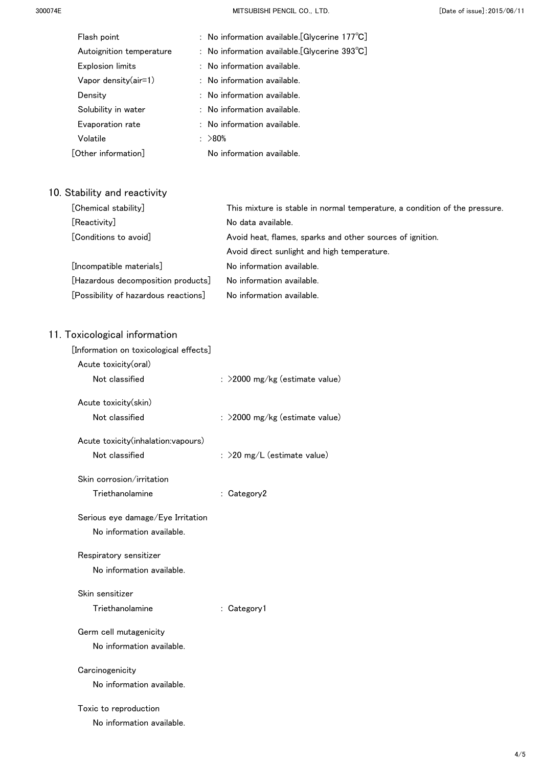300074E MITSUBISHI PENCIL CO.,LTD. [Date of issue]:2015/06/11

| Flash point              | : No information available. [Glycerine $177^{\circ}C$ ] |  |
|--------------------------|---------------------------------------------------------|--|
| Autoignition temperature | : No information available. [Glycerine $393^{\circ}$ C] |  |
| <b>Explosion limits</b>  | : No information available.                             |  |
| Vapor density $(air=1)$  | $:$ No information available.                           |  |
| Density                  | : No information available.                             |  |
| Solubility in water      | : No information available.                             |  |
| Evaporation rate         | $:$ No information available.                           |  |
| Volatile                 | : >80%                                                  |  |
| [Other information]      | No information available.                               |  |
|                          |                                                         |  |

## 10. Stability and reactivity

| [Chemical stability]                 | This mixture is stable in normal temperature, a condition of the pressure. |
|--------------------------------------|----------------------------------------------------------------------------|
| [Reactivity]                         | No data available.                                                         |
| [Conditions to avoid]                | Avoid heat, flames, sparks and other sources of ignition.                  |
|                                      | Avoid direct sunlight and high temperature.                                |
| [Incompatible materials]             | No information available.                                                  |
| [Hazardous decomposition products]   | No information available.                                                  |
| [Possibility of hazardous reactions] | No information available.                                                  |

| [Information on toxicological effects] |                                   |
|----------------------------------------|-----------------------------------|
| Acute toxicity(oral)                   |                                   |
| Not classified                         | : >2000 mg/kg (estimate value)    |
| Acute toxicity(skin)                   |                                   |
| Not classified                         | : $>$ 2000 mg/kg (estimate value) |
| Acute toxicity(inhalation:vapours)     |                                   |
| Not classified                         | : $>$ 20 mg/L (estimate value)    |
| Skin corrosion/irritation              |                                   |
| Triethanolamine                        | : Category2                       |
| Serious eye damage/Eye Irritation      |                                   |
| No information available.              |                                   |
| Respiratory sensitizer                 |                                   |
| No information available.              |                                   |
| Skin sensitizer                        |                                   |
| Triethanolamine                        | : Category1                       |
| Germ cell mutagenicity                 |                                   |
| No information available.              |                                   |
| Carcinogenicity                        |                                   |
| No information available.              |                                   |
| Toxic to reproduction                  |                                   |
| No information available.              |                                   |